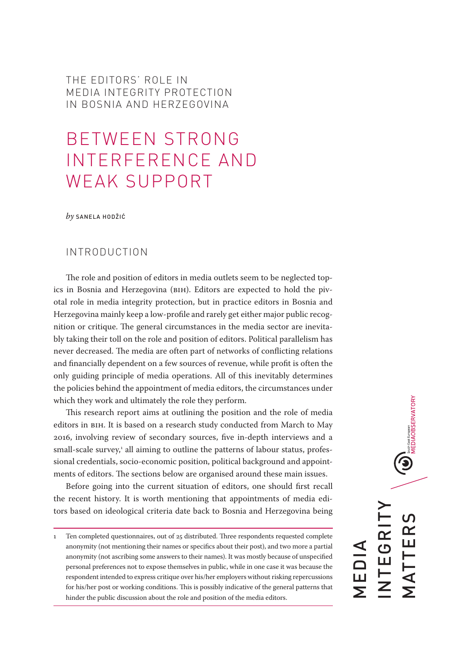THE EDITORS' ROLE IN MEDIA INTEGRITY PROTECTION IN BOSNIA AND HERZEGOVINA

# BETWEEN STRONG INTERFERENCE AND WEAK SUPPORT

*by* SANELA HODŽIĆ

## INTRODUCTION

The role and position of editors in media outlets seem to be neglected topics in Bosnia and Herzegovina (BIH). Editors are expected to hold the pivotal role in media integrity protection, but in practice editors in Bosnia and Herzegovina mainly keep a low-profile and rarely get either major public recognition or critique. The general circumstances in the media sector are inevitably taking their toll on the role and position of editors. Political parallelism has never decreased. The media are often part of networks of conflicting relations and financially dependent on a few sources of revenue, while profit is often the only guiding principle of media operations. All of this inevitably determines the policies behind the appointment of media editors, the circumstances under which they work and ultimately the role they perform.

This research report aims at outlining the position and the role of media editors in BIH. It is based on a research study conducted from March to May 2016, involving review of secondary sources, five in-depth interviews and a small-scale survey,1 all aiming to outline the patterns of labour status, professional credentials, socio-economic position, political background and appointments of editors. The sections below are organised around these main issues.

Before going into the current situation of editors, one should first recall the recent history. It is worth mentioning that appointments of media editors based on ideological criteria date back to Bosnia and Herzegovina being

<sup>1</sup> Ten completed questionnaires, out of 25 distributed. Three respondents requested complete anonymity (not mentioning their names or specifics about their post), and two more a partial anonymity (not ascribing some answers to their names). It was mostly because of unspecified personal preferences not to expose themselves in public, while in one case it was because the respondent intended to express critique over his/her employers without risking repercussions for his/her post or working conditions. This is possibly indicative of the general patterns that hinder the public discussion about the role and position of the media editors.

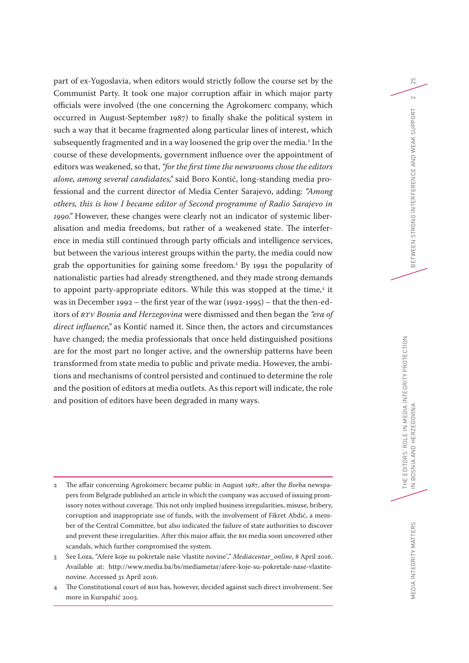part of ex-Yugoslavia, when editors would strictly follow the course set by the Communist Party. It took one major corruption affair in which major party officials were involved (the one concerning the Agrokomerc company, which occurred in August-September 1987) to finally shake the political system in such a way that it became fragmented along particular lines of interest, which subsequently fragmented and in a way loosened the grip over the media.<sup>2</sup> In the course of these developments, government influence over the appointment of editors was weakened, so that, *"for the first time the newsrooms chose the editors alone, among several candidates,"* said Boro Kontić, long-standing media professional and the current director of Media Center Sarajevo, adding: *"Among others, this is how I became editor of Second programme of Radio Sarajevo in 1990."* However, these changes were clearly not an indicator of systemic liberalisation and media freedoms, but rather of a weakened state. The interference in media still continued through party officials and intelligence services, but between the various interest groups within the party, the media could now grab the opportunities for gaining some freedom.3 By 1991 the popularity of nationalistic parties had already strengthened, and they made strong demands to appoint party-appropriate editors. While this was stopped at the time,<sup>4</sup> it was in December 1992 – the first year of the war (1992-1995) – that the then-editors of *RTV Bosnia and Herzegovina* were dismissed and then began the *"era of direct influence,"* as Kontić named it. Since then, the actors and circumstances have changed; the media professionals that once held distinguished positions are for the most part no longer active, and the ownership patterns have been transformed from state media to public and private media. However, the ambitions and mechanisms of control persisted and continued to determine the role and the position of editors at media outlets. As this report will indicate, the role and position of editors have been degraded in many ways.

- 2 The affair concerning Agrokomerc became public in August 1987, after the *Borba* newspapers from Belgrade published an article in which the company was accused of issuing promissory notes without coverage. This not only implied business irregularities, misuse, bribery, corruption and inappropriate use of funds, with the involvement of Fikret Abdić, a member of the Central Committee, but also indicated the failure of state authorities to discover and prevent these irregularities. After this major affair, the BH media soon uncovered other scandals, which further compromised the system.
- 3 See Loza, "Afere koje su pokretale naše 'vlastite novine'," *Mediacentar\_online*, 8 April 2016. Available at: [http://www.media.ba/bs/mediametar/afere-koje-su-pokretale-nase-vlastite](http://www.media.ba/bs/mediametar/afere-koje-su-pokretale-nase-vlastite-novine)[novine](http://www.media.ba/bs/mediametar/afere-koje-su-pokretale-nase-vlastite-novine). Accessed 31 April 2016.
- 4 The Constitutional court of BIH has, however, decided against such direct involvement. See more in Kurspahić 2003.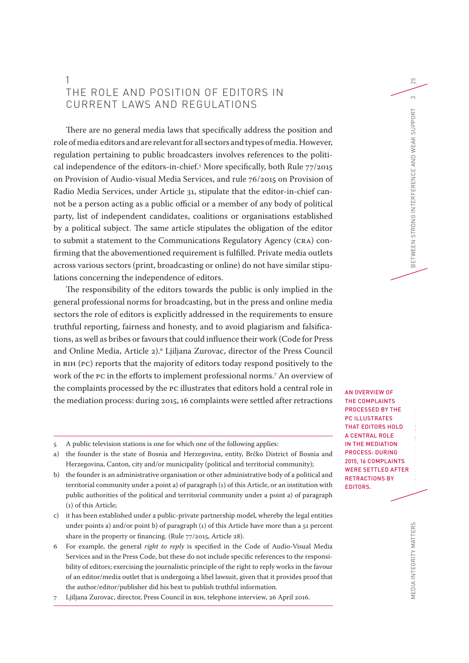# 1 THE ROLE AND POSITION OF EDITORS IN CURRENT LAWS AND REGULATIONS

There are no general media laws that specifically address the position and role of media editors and are relevant for all sectors and types of media. However, regulation pertaining to public broadcasters involves references to the political independence of the editors-in-chief.5 More specifically, both Rule 77/2015 on Provision of Audio-visual Media Services, and rule 76/2015 on Provision of Radio Media Services, under Article 31, stipulate that the editor-in-chief cannot be a person acting as a public official or a member of any body of political party, list of independent candidates, coalitions or organisations established by a political subject. The same article stipulates the obligation of the editor to submit a statement to the Communications Regulatory Agency (CRA) confirming that the abovementioned requirement is fulfilled. Private media outlets across various sectors (print, broadcasting or online) do not have similar stipulations concerning the independence of editors.

The responsibility of the editors towards the public is only implied in the general professional norms for broadcasting, but in the press and online media sectors the role of editors is explicitly addressed in the requirements to ensure truthful reporting, fairness and honesty, and to avoid plagiarism and falsifications, as well as bribes or favours that could influence their work (Code for Press and Online Media, Article 2).6 Ljiljana Zurovac, director of the Press Council in BIH (PC) reports that the majority of editors today respond positively to the work of the PC in the efforts to implement professional norms.7 An overview of the complaints processed by the PC illustrates that editors hold a central role in the mediation process: during 2015, 16 complaints were settled after retractions

- 5 A public television stations is one for which one of the following applies:
- a) the founder is the state of Bosnia and Herzegovina, entity, Brčko District of Bosnia and Herzegovina, Canton, city and/or municipality (political and territorial community);
- b) the founder is an administrative organisation or other administrative body of a political and territorial community under a point a) of paragraph (1) of this Article, or an institution with public authorities of the political and territorial community under a point a) of paragraph (1) of this Article;
- c) it has been established under a public-private partnership model, whereby the legal entities under points a) and/or point b) of paragraph (1) of this Article have more than a 51 percent share in the property or financing. (Rule 77/2015, Article 28).
- 6 For example, the general *right to reply* is specified in the Code of Audio-Visual Media Services and in the Press Code, but these do not include specific references to the responsibility of editors; exercising the journalistic principle of the right to reply works in the favour of an editor/media outlet that is undergoing a libel lawsuit, given that it provides proof that the author/editor/publisher did his best to publish truthful information.
- 7 Ljiljana Zurovac, director, Press Council in BIH, telephone interview, 26 April 2016.

THE EDITORS' ROLE IN MEDIA INTEGRITY PROTECTION CONTINUES. AN OVERVIEW OF THE COMPLAINTS PROCESSED BY THE PC ILLUSTRATES THAT EDITORS HOLD A CENTRAL ROLE IN THE MEDIATION PROCESS: DURING 2015, 16 COMPLAINTS WERE SETTLED AFTER RETRACTIONS BY EDITORS.

EDIA INTEGRITY MATTERS MEDIA INTEGRITY MATTERS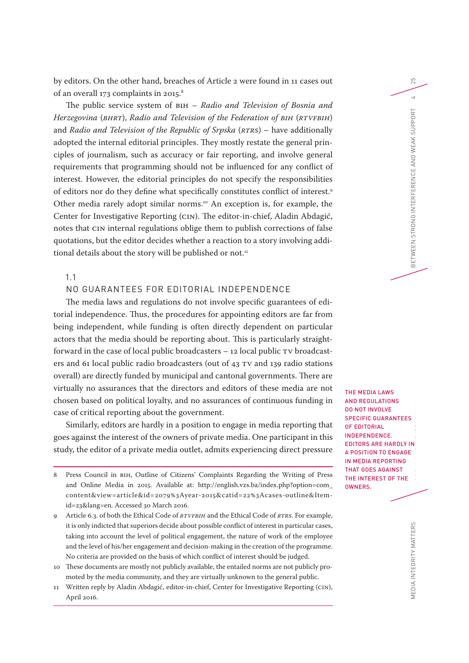by editors. On the other hand, breaches of Article 2 were found in 11 cases out of an overall 173 complaints in 2015.<sup>8</sup>

The public service system of BIH – *Radio and Television of Bosnia and Herzegovina* (*BHRT*), *Radio and Television of the Federation of BIH* (*RTVFBIH*) and *Radio and Television of the Republic of Srpska* (*RTRS*) – have additionally adopted the internal editorial principles. They mostly restate the general principles of journalism, such as accuracy or fair reporting, and involve general requirements that programming should not be influenced for any conflict of interest. However, the editorial principles do not specify the responsibilities of editors nor do they define what specifically constitutes conflict of interest.9 Other media rarely adopt similar norms.<sup>10</sup> An exception is, for example, the Center for Investigative Reporting (CIN). The editor-in-chief, Aladin Abdagić, notes that CIN internal regulations oblige them to publish corrections of false quotations, but the editor decides whether a reaction to a story involving additional details about the story will be published or not.<sup>11</sup>

1.1

## NO GUARANTEES FOR EDITORIAL INDEPENDENCE

The media laws and regulations do not involve specific guarantees of editorial independence. Thus, the procedures for appointing editors are far from being independent, while funding is often directly dependent on particular actors that the media should be reporting about. This is particularly straightforward in the case of local public broadcasters – 12 local public TV broadcasters and 61 local public radio broadcasters (out of 43 TV and 139 radio stations overall) are directly funded by municipal and cantonal governments. There are virtually no assurances that the directors and editors of these media are not chosen based on political loyalty, and no assurances of continuous funding in case of critical reporting about the government.

Similarly, editors are hardly in a position to engage in media reporting that goes against the interest of the owners of private media. One participant in this study, the editor of a private media outlet, admits experiencing direct pressure

THE EDITORS' ROLE INTEGRITY PROTECTION CONTINUES. THE MEDIA LAWS AND REGULATIONS DO NOT INVOLVE SPECIFIC GUARANTEES OF EDITORIAL INDEPENDENCE. EDITORS ARE HARDLY IN A POSITION TO ENGAGE IN MEDIA REPORTING THAT GOES AGAINST THE INTEREST OF THE OWNERS.

MEDIA INTEGRITY MATTERS MEDIA INTEGRITY MATTERS

<sup>8</sup> Press Council in BIH, Outline of Citizens' Complaints Regarding the Writing of Press and Online Media in 2015. Available at: [http://english.vzs.ba/index.php?option=com\\_](http://english.vzs.ba/index.php?option=com_content&view=article&id=2079%3Ayear-2015&catid=22%3Acases-outline&Itemid=23&lang=en) [content&view=article&id=2079%3Ayear-2015&catid=22%3Acases-outline&Item](http://english.vzs.ba/index.php?option=com_content&view=article&id=2079%3Ayear-2015&catid=22%3Acases-outline&Itemid=23&lang=en)[id=23&lang=en](http://english.vzs.ba/index.php?option=com_content&view=article&id=2079%3Ayear-2015&catid=22%3Acases-outline&Itemid=23&lang=en). Accessed 30 March 2016.

<sup>9</sup> Article 6.3. of both the Ethical Code of *RTVFBIH* and the Ethical Code of *RTRS*. For example, it is only indicted that superiors decide about possible conflict of interest in particular cases, taking into account the level of political engagement, the nature of work of the employee and the level of his/her engagement and decision-making in the creation of the programme. No criteria are provided on the basis of which conflict of interest should be judged.

<sup>10</sup> These documents are mostly not publicly available, the entailed norms are not publicly promoted by the media community, and they are virtually unknown to the general public.

<sup>11</sup> Written reply by Aladin Abdagić, editor-in-chief, Center for Investigative Reporting (CIN), April 2016.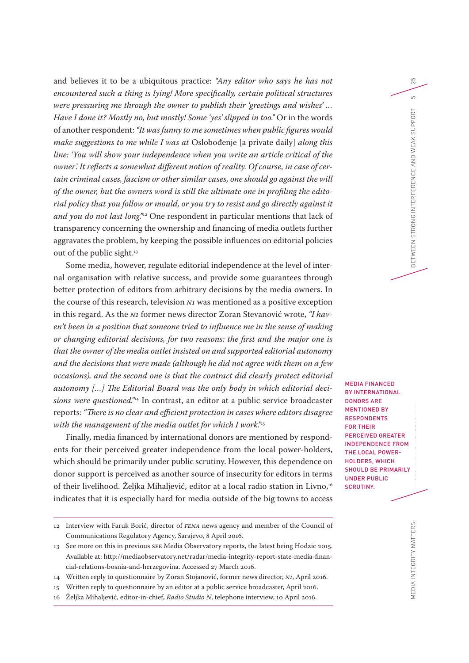and believes it to be a ubiquitous practice: *"Any editor who says he has not encountered such a thing is lying! More specifically, certain political structures were pressuring me through the owner to publish their 'greetings and wishes' … Have I done it? Mostly no, but mostly! Some 'yes' slipped in too."* Or in the words of another respondent: *"It was funny to me sometimes when public figures would make suggestions to me while I was at* Oslobođenje [a private daily] *along this line: 'You will show your independence when you write an article critical of the owner'. It reflects a somewhat different notion of reality. Of course, in case of certain criminal cases, fascism or other similar cases, one should go against the will of the owner, but the owners word is still the ultimate one in profiling the editorial policy that you follow or mould, or you try to resist and go directly against it and you do not last long."*12 One respondent in particular mentions that lack of transparency concerning the ownership and financing of media outlets further aggravates the problem, by keeping the possible influences on editorial policies out of the public sight.<sup>13</sup>

Some media, however, regulate editorial independence at the level of internal organisation with relative success, and provide some guarantees through better protection of editors from arbitrary decisions by the media owners. In the course of this research, television *N1* was mentioned as a positive exception in this regard. As the *N1* former news director Zoran Stevanović wrote, *"I haven't been in a position that someone tried to influence me in the sense of making or changing editorial decisions, for two reasons: the first and the major one is that the owner of the media outlet insisted on and supported editorial autonomy and the decisions that were made (although he did not agree with them on a few occasions), and the second one is that the contract did clearly protect editorial autonomy […] The Editorial Board was the only body in which editorial decisions were questioned."*14 In contrast, an editor at a public service broadcaster reports: *"There is no clear and efficient protection in cases where editors disagree with the management of the media outlet for which I work."*<sup>15</sup>

Finally, media financed by international donors are mentioned by respondents for their perceived greater independence from the local power-holders, which should be primarily under public scrutiny. However, this dependence on donor support is perceived as another source of insecurity for editors in terms of their livelihood. Željka Mihaljević, editor at a local radio station in Livno,<sup>16</sup> indicates that it is especially hard for media outside of the big towns to access

14 Written reply to questionnaire by Zoran Stojanović, former news director, *N1*, April 2016.

THE EDITORS' ROLE IN MEDIA IN 1989.<br>The Editor MEDIA FINANCED BY INTERNATIONAL DONORS ARE MENTIONED BY **RESPONDENTS** FOR THEIR PERCEIVED GREATER INDEPENDENCE FROM THE LOCAL POWER-HOLDERS, WHICH SHOULD BE PRIMARILY UNDER PUBLIC SCRUTINY.

IN BOSNIA AND HERZEGOVINA BETWEEN STRONG INTERFERENCE AND WEAK SUPPORT 5

25

 $\overline{a}$ 

<sup>12</sup> Interview with Faruk Borić, director of *FENA* news agency and member of the Council of Communications Regulatory Agency, Sarajevo, 8 April 2016.

<sup>13</sup> See more on this in previous SEE Media Observatory reports, the latest being Hodzic 2015. Available at: [http://mediaobservatory.net/radar/media-integrity-report-state-media-finan](http://mediaobservatory.net/radar/media-integrity-report-state-media-financial-relations-bosnia-and-herzegovina)[cial-relations-bosnia-and-herzegovina.](http://mediaobservatory.net/radar/media-integrity-report-state-media-financial-relations-bosnia-and-herzegovina) Accessed 27 March 2016.

<sup>15</sup> Written reply to questionnaire by an editor at a public service broadcaster, April 2016.

<sup>16</sup> Željka Mihaljević, editor-in-chief, *Radio Studio N*, telephone interview, 10 April 2016.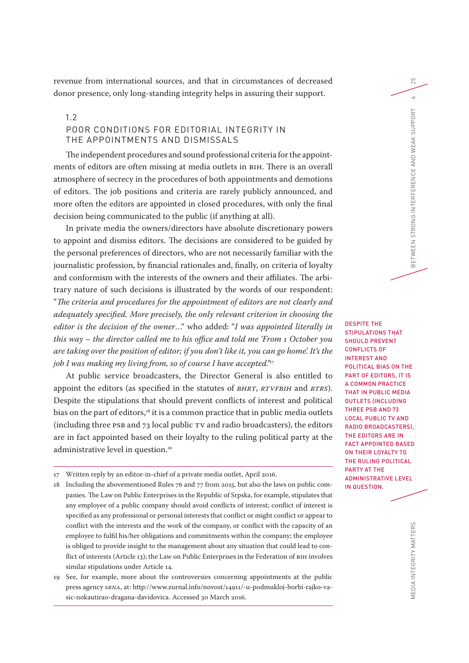revenue from international sources, and that in circumstances of decreased donor presence, only long-standing integrity helps in assuring their support.

## 1.2

## POOR CONDITIONS FOR EDITORIAL INTEGRITY IN THE APPOINTMENTS AND DISMISSALS

The independent procedures and sound professional criteria for the appointments of editors are often missing at media outlets in BIH. There is an overall atmosphere of secrecy in the procedures of both appointments and demotions of editors. The job positions and criteria are rarely publicly announced, and more often the editors are appointed in closed procedures, with only the final decision being communicated to the public (if anything at all).

In private media the owners/directors have absolute discretionary powers to appoint and dismiss editors. The decisions are considered to be guided by the personal preferences of directors, who are not necessarily familiar with the journalistic profession, by financial rationales and, finally, on criteria of loyalty and conformism with the interests of the owners and their affiliates. The arbitrary nature of such decisions is illustrated by the words of our respondent: "*The criteria and procedures for the appointment of editors are not clearly and adequately specified. More precisely, the only relevant criterion in choosing the editor is the decision of the owner*…" who added: "*I was appointed literally in this way – the director called me to his office and told me 'From 1 October you are taking over the position of editor; if you don't like it, you can go home'. It's the job I was making my living from, so of course I have accepted."*<sup>17</sup>

At public service broadcasters, the Director General is also entitled to appoint the editors (as specified in the statutes of *BHRT*, *RTVFBIH* and *RTRS*). Despite the stipulations that should prevent conflicts of interest and political bias on the part of editors,<sup>18</sup> it is a common practice that in public media outlets (including three PSB and  $73$  local public TV and radio broadcasters), the editors are in fact appointed based on their loyalty to the ruling political party at the administrative level in question.<sup>19</sup>

THE EDITORS' ROLE IN MEDIA INTERNATIONAL PROTECTION PROTECTION IN MEDIA INTERNATIONAL PROTECTION PRO IN BOSNIA AND HERZEGOVINA BETWEEN STRONG INTERFERENCE AND WEAK SUPPORT 6 DESPITE THE STIPULATIONS THAT SHOULD PREVENT CONFLICTS OF INTEREST AND POLITICAL BIAS ON THE PART OF EDITORS, IT IS A COMMON PRACTICE THAT IN PUBLIC MEDIA OUTLETS (INCLUDING THREE PSB AND 73 LOCAL PUBLIC TV AND RADIO BROADCASTERS), THE EDITORS ARE IN FACT APPOINTED BASED ON THEIR LOYALTY TO THE RULING POLITICAL PARTY AT THE ADMINISTRATIVE LEVEL IN QUESTION.

25

 $\sim$ 

<sup>17</sup> Written reply by an editor-in-chief of a private media outlet, April 2016.

<sup>18</sup> Including the abovementioned Rules 76 and 77 from 2015, but also the laws on public companies. The Law on Public Enterprises in the Republic of Srpska, for example, stipulates that any employee of a public company should avoid conflicts of interest; conflict of interest is specified as any professional or personal interests that conflict or might conflict or appear to conflict with the interests and the work of the company, or conflict with the capacity of an employee to fulfil his/her obligations and commitments within the company; the employee is obliged to provide insight to the management about any situation that could lead to conflict of interests (Article 13); the Law on Public Enterprises in the Federation of BIH involves similar stipulations under Article 14.

<sup>19</sup> See, for example, more about the controversies concerning appointments at the public press agency *SRNA*, at: [http://www.zurnal.info/novost/14911/-u-podmukloj-borbi-rajko-va](http://www.zurnal.info/novost/14911/-u-podmukloj-borbi-rajko-vasic-nokautirao-dragana-davidovica)[sic-nokautirao-dragana-davidovica](http://www.zurnal.info/novost/14911/-u-podmukloj-borbi-rajko-vasic-nokautirao-dragana-davidovica). Accessed 30 March 2016.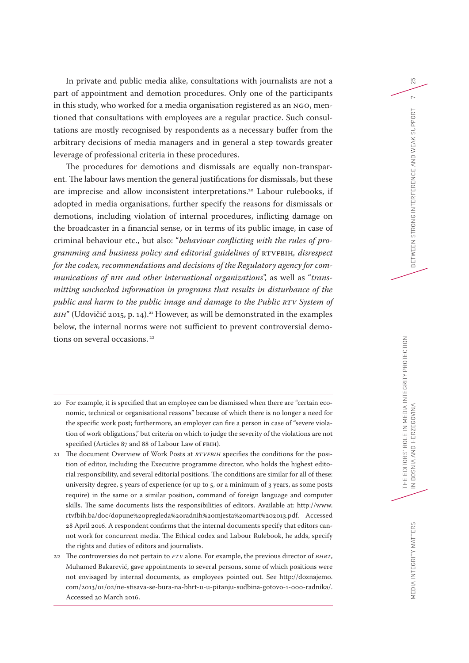In private and public media alike, consultations with journalists are not a part of appointment and demotion procedures. Only one of the participants in this study, who worked for a media organisation registered as an NGO, mentioned that consultations with employees are a regular practice. Such consultations are mostly recognised by respondents as a necessary buffer from the arbitrary decisions of media managers and in general a step towards greater leverage of professional criteria in these procedures.

The procedures for demotions and dismissals are equally non-transparent. The labour laws mention the general justifications for dismissals, but these are imprecise and allow inconsistent interpretations.<sup>20</sup> Labour rulebooks, if adopted in media organisations, further specify the reasons for dismissals or demotions, including violation of internal procedures, inflicting damage on the broadcaster in a financial sense, or in terms of its public image, in case of criminal behaviour etc., but also: "*behaviour conflicting with the rules of programming and business policy and editorial guidelines of* RTVFBIH*, disrespect for the codex, recommendations and decisions of the Regulatory agency for communications of BiH and other international organizations*", as well as "*transmitting unchecked information in programs that results in disturbance of the public and harm to the public image and damage to the Public RTV System of BIH*" (Udovičić 2015, p. 14).<sup>21</sup> However, as will be demonstrated in the examples below, the internal norms were not sufficient to prevent controversial demotions on several occasions.<sup>22</sup>

- 20 For example, it is specified that an employee can be dismissed when there are "certain economic, technical or organisational reasons" because of which there is no longer a need for the specific work post; furthermore, an employer can fire a person in case of "severe violation of work obligations," but criteria on which to judge the severity of the violations are not specified (Articles 87 and 88 of Labour Law of FBIH).
- 21 The document Overview of Work Posts at *RTVFBIH* specifies the conditions for the position of editor, including the Executive programme director, who holds the highest editorial responsibility, and several editorial positions. The conditions are similar for all of these: university degree, 5 years of experience (or up to 5, or a minimum of 3 years, as some posts require) in the same or a similar position, command of foreign language and computer skills. The same documents lists the responsibilities of editors. Available at: [http://www.](http://www.rtvfbih.ba/doc/dopune%20pregleda%20radnih%20mjesta%20mart%202013.pdf) [rtvfbih.ba/doc/dopune%20pregleda%20radnih%20mjesta%20mart%202013.pdf.](http://www.rtvfbih.ba/doc/dopune%20pregleda%20radnih%20mjesta%20mart%202013.pdf) Accessed 28 April 2016. A respondent confirms that the internal documents specify that editors cannot work for concurrent media. The Ethical codex and Labour Rulebook, he adds, specify the rights and duties of editors and journalists.
- 22 The controversies do not pertain to *FTV* alone. For example, the previous director of *BHRT*, Muhamed Bakarević, gave appointments to several persons, some of which positions were not envisaged by internal documents, as employees pointed out. See [http://doznajemo.](http://doznajemo.com/2013/01/02/ne-stisava-se-bura-na-bhrt-u-u-pitanju-sudbina-gotovo-1-000-radnika/) [com/2013/01/02/ne-stisava-se-bura-na-bhrt-u-u-pitanju-sudbina-gotovo-1-000-radnika/](http://doznajemo.com/2013/01/02/ne-stisava-se-bura-na-bhrt-u-u-pitanju-sudbina-gotovo-1-000-radnika/). Accessed 30 March 2016.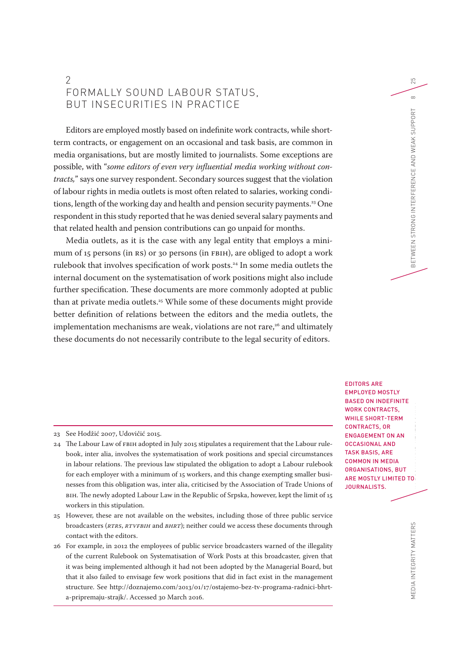# 2 FORMALLY SOUND LABOUR STATUS, BUT INSECURITIES IN PRACTICE

Editors are employed mostly based on indefinite work contracts, while shortterm contracts, or engagement on an occasional and task basis, are common in media organisations, but are mostly limited to journalists. Some exceptions are possible, with "*some editors of even very influential media working without contracts,*" says one survey respondent. Secondary sources suggest that the violation of labour rights in media outlets is most often related to salaries, working conditions, length of the working day and health and pension security payments.<sup>23</sup> One respondent in this study reported that he was denied several salary payments and that related health and pension contributions can go unpaid for months.

Media outlets, as it is the case with any legal entity that employs a minimum of 15 persons (in RS) or 30 persons (in FBIH), are obliged to adopt a work rulebook that involves specification of work posts.24 In some media outlets the internal document on the systematisation of work positions might also include further specification. These documents are more commonly adopted at public than at private media outlets.<sup>25</sup> While some of these documents might provide better definition of relations between the editors and the media outlets, the implementation mechanisms are weak, violations are not rare,<sup>26</sup> and ultimately these documents do not necessarily contribute to the legal security of editors.

23 See Hodžić 2007, Udovičić 2015.

- 24 The Labour Law of FBIH adopted in July 2015 stipulates a requirement that the Labour rulebook, inter alia, involves the systematisation of work positions and special circumstances in labour relations. The previous law stipulated the obligation to adopt a Labour rulebook for each employer with a minimum of 15 workers, and this change exempting smaller businesses from this obligation was, inter alia, criticised by the Association of Trade Unions of BIH. The newly adopted Labour Law in the Republic of Srpska, however, kept the limit of 15 workers in this stipulation.
- 25 However, these are not available on the websites, including those of three public service broadcasters (*RTRS*, *RTVFBIH* and *BHRT*); neither could we access these documents through contact with the editors.
- 26 For example, in 2012 the employees of public service broadcasters warned of the illegality of the current Rulebook on Systematisation of Work Posts at this broadcaster, given that it was being implemented although it had not been adopted by the Managerial Board, but that it also failed to envisage few work positions that did in fact exist in the management structure. See [http://doznajemo.com/2013/01/17/ostajemo-bez-tv-programa-radnici-bhrt](http://doznajemo.com/2013/01/17/ostajemo-bez-tv-programa-radnici-bhrt-a-pripremaju-strajk/)[a-pripremaju-strajk/](http://doznajemo.com/2013/01/17/ostajemo-bez-tv-programa-radnici-bhrt-a-pripremaju-strajk/). Accessed 30 March 2016.

THE EDITORS' ROLE IN MEDIA INTERNATIONAL EXPERIENCE IN 1989 PROTECTION CONTINUES.<br>District in the continues of the continues of the continues of the continues of the continues of the continues IN BETWEEN STRONG INTERFERENCE AND WEAK SUPPORT 8 EDITORS ARE EMPLOYED MOSTLY BASED ON INDEFINITE WORK CONTRACTS, WHILE SHORT-TERM CONTRACTS, OR ENGAGEMENT ON AN OCCASIONAL AND TASK BASIS, ARE COMMON IN MEDIA ORGANISATIONS, BUT ARE MOSTLY LIMITED TO JOURNALISTS.

25

 $\infty$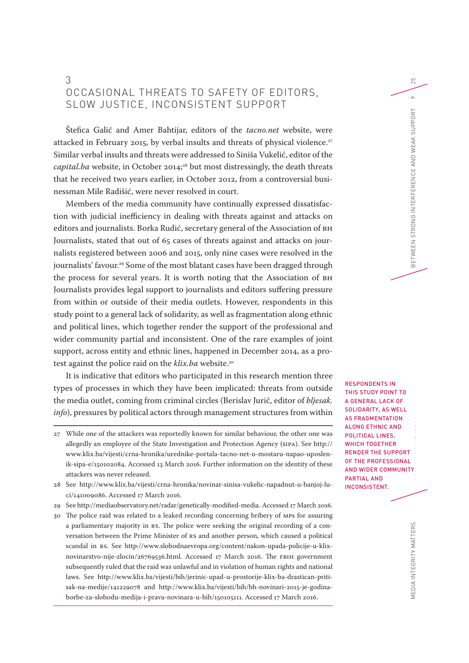# 3 OCCASIONAL THREATS TO SAFETY OF EDITORS, SLOW JUSTICE, INCONSISTENT SUPPORT

Štefica Galić and Amer Bahtijar, editors of the *tacno.net* website, were attacked in February 2015, by verbal insults and threats of physical violence.<sup>27</sup> Similar verbal insults and threats were addressed to Siniša Vukelić, editor of the *capital.ba* website, in October 2014;<sup>28</sup> but most distressingly, the death threats that he received two years earlier, in October 2012, from a controversial businessman Mile Radišić, were never resolved in court.

Members of the media community have continually expressed dissatisfaction with judicial inefficiency in dealing with threats against and attacks on editors and journalists. Borka Rudić, secretary general of the Association of BH Journalists, stated that out of 65 cases of threats against and attacks on journalists registered between 2006 and 2015, only nine cases were resolved in the journalists' favour.<sup>29</sup> Some of the most blatant cases have been dragged through the process for several years. It is worth noting that the Association of BH Journalists provides legal support to journalists and editors suffering pressure from within or outside of their media outlets. However, respondents in this study point to a general lack of solidarity, as well as fragmentation along ethnic and political lines, which together render the support of the professional and wider community partial and inconsistent. One of the rare examples of joint support, across entity and ethnic lines, happened in December 2014, as a protest against the police raid on the *klix.ba* website.30

It is indicative that editors who participated in this research mention three types of processes in which they have been implicated: threats from outside the media outlet, coming from criminal circles (Berislav Jurič, editor of *bljesak. info*), pressures by political actors through management structures from within

- 29 See [http://mediaobservatory.net/radar/genetically-modified-media.](http://mediaobservatory.net/radar/genetically-modified-media) Accessed 17 March 2016.
- 30 The police raid was related to a leaked recording concerning bribery of MPs for assuring a parliamentary majority in RS. The police were seeking the original recording of a conversation between the Prime Minister of RS and another person, which caused a political scandal in RS. See [http://www.slobodnaevropa.org/content/nakon-upada-policije-u-klix](http://www.slobodnaevropa.org/content/nakon-upada-policije-u-klix-novinarstvo-nije-zlocin/26769536.html)[novinarstvo-nije-zlocin/26769536.html](http://www.slobodnaevropa.org/content/nakon-upada-policije-u-klix-novinarstvo-nije-zlocin/26769536.html). Accessed 17 March 2016. The FBIH government subsequently ruled that the raid was unlawful and in violation of human rights and national laws. See [http://www.klix.ba/vijesti/bih/jerinic-upad-u-prostorije-klix-ba-drastican-priti](http://www.klix.ba/vijesti/bih/jerinic-upad-u-prostorije-klix-ba-drastican-pritisak-na-medije/141229078)[sak-na-medije/141229078](http://www.klix.ba/vijesti/bih/jerinic-upad-u-prostorije-klix-ba-drastican-pritisak-na-medije/141229078) and [http://www.klix.ba/vijesti/bih/bh-novinari-2015-je-godina](http://www.klix.ba/vijesti/bih/bh-novinari-2015-je-godina-borbe-za-slobodu-medija-i-prava-novinara-u-bih/150105111)[borbe-za-slobodu-medija-i-prava-novinara-u-bih/150105111.](http://www.klix.ba/vijesti/bih/bh-novinari-2015-je-godina-borbe-za-slobodu-medija-i-prava-novinara-u-bih/150105111) Accessed 17 March 2016.

O<br>The Editors' Role in Media International International International International International International<br>The Editor School of the Political International International International International International Inte IN BETWEEN STRONG INTERFERENCE AND HERFERENCE AND WEAK SUPPORT 9 RESPONDENTS IN THIS STUDY POINT TO A GENERAL LACK OF SOLIDARITY, AS WELL AS FRAGMENTATION ALONG ETHNIC AND POLITICAL LINES, WHICH TOGETHER RENDER THE SUPPORT OF THE PROFESSIONAL AND WIDER COMMUNITY PARTIAL AND INCONSISTENT.

25

 $\circ$ 

BETWEEN STRONG INTERFERENCE AND WEAK SUPPORT

MEDIA INTEGRITY MATTERS

MEDIA INTEGRITY MATTERS

<sup>27</sup> While one of the attackers was reportedly known for similar behaviour, the other one was allegedly an employee of the State Investigation and Protection Agency (SIPA). See [http://](http://www.klix.ba/vijesti/crna-hronika/urednike-portala-tacno-net-u-mostaru-napao-uposlenik-sipa-e/150102084) [www.klix.ba/vijesti/crna-hronika/urednike-portala-tacno-net-u-mostaru-napao-uposlen](http://www.klix.ba/vijesti/crna-hronika/urednike-portala-tacno-net-u-mostaru-napao-uposlenik-sipa-e/150102084)[ik-sipa-e/150102084](http://www.klix.ba/vijesti/crna-hronika/urednike-portala-tacno-net-u-mostaru-napao-uposlenik-sipa-e/150102084). Accessed 13 March 2016. Further information on the identity of these attackers was never released.

<sup>28</sup> See [http://www.klix.ba/vijesti/crna-hronika/novinar-sinisa-vukelic-napadnut-u-banjoj-lu](http://www.klix.ba/vijesti/crna-hronika/novinar-sinisa-vukelic-napadnut-u-banjoj-luci/141009086)[ci/141009086.](http://www.klix.ba/vijesti/crna-hronika/novinar-sinisa-vukelic-napadnut-u-banjoj-luci/141009086) Accessed 17 March 2016.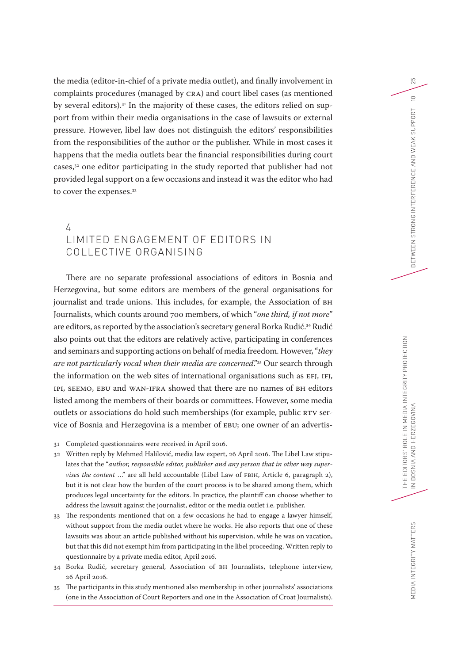the media (editor-in-chief of a private media outlet), and finally involvement in complaints procedures (managed by CRA) and court libel cases (as mentioned by several editors).31 In the majority of these cases, the editors relied on support from within their media organisations in the case of lawsuits or external pressure. However, libel law does not distinguish the editors' responsibilities from the responsibilities of the author or the publisher. While in most cases it happens that the media outlets bear the financial responsibilities during court cases,32 one editor participating in the study reported that publisher had not provided legal support on a few occasions and instead it was the editor who had to cover the expenses.<sup>33</sup>

# 4 LIMITED ENGAGEMENT OF EDITORS IN COLLECTIVE ORGANISING

There are no separate professional associations of editors in Bosnia and Herzegovina, but some editors are members of the general organisations for journalist and trade unions. This includes, for example, the Association of BH Journalists, which counts around 700 members, of which "*one third, if not more*" are editors, as reported by the association's secretary general Borka Rudić.<sup>34</sup> Rudić also points out that the editors are relatively active, participating in conferences and seminars and supporting actions on behalf of media freedom. However, "*they are not particularly vocal when their media are concerned*."35 Our search through the information on the web sites of international organisations such as EFJ, IFJ, IPI, SEEMO, EBU and WAN-IFRA showed that there are no names of BH editors listed among the members of their boards or committees. However, some media outlets or associations do hold such memberships (for example, public RTV service of Bosnia and Herzegovina is a member of EBU; one owner of an advertis-

- 32 Written reply by Mehmed Halilović, media law expert, 26 April 2016. The Libel Law stipulates that the "*author, responsible editor, publisher and any person that in other way supervises the content* …" are all held accountable (Libel Law of FBIH, Article 6, paragraph 2), but it is not clear how the burden of the court process is to be shared among them, which produces legal uncertainty for the editors. In practice, the plaintiff can choose whether to address the lawsuit against the journalist, editor or the media outlet i.e. publisher.
- 33 The respondents mentioned that on a few occasions he had to engage a lawyer himself, without support from the media outlet where he works. He also reports that one of these lawsuits was about an article published without his supervision, while he was on vacation, but that this did not exempt him from participating in the libel proceeding. Written reply to questionnaire by a private media editor, April 2016.
- 34 Borka Rudić, secretary general, Association of BH Journalists, telephone interview, 26 April 2016.
- 35 The participants in this study mentioned also membership in other journalists' associations (one in the Association of Court Reporters and one in the Association of Croat Journalists).

<sup>31</sup> Completed questionnaires were received in April 2016.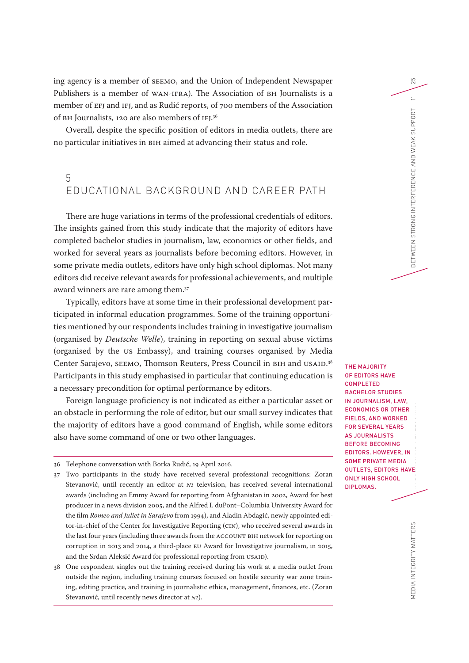ing agency is a member of SEEMO, and the Union of Independent Newspaper Publishers is a member of WAN-IFRA). The Association of BH Journalists is a member of EFJ and IFJ, and as Rudić reports, of 700 members of the Association of BH Journalists, 120 are also members of IFJ. 36

Overall, despite the specific position of editors in media outlets, there are no particular initiatives in BIH aimed at advancing their status and role.

# 5 EDUCATIONAL BACKGROUND AND CAREER PATH

There are huge variations in terms of the professional credentials of editors. The insights gained from this study indicate that the majority of editors have completed bachelor studies in journalism, law, economics or other fields, and worked for several years as journalists before becoming editors. However, in some private media outlets, editors have only high school diplomas. Not many editors did receive relevant awards for professional achievements, and multiple award winners are rare among them.37

Typically, editors have at some time in their professional development participated in informal education programmes. Some of the training opportunities mentioned by our respondents includes training in investigative journalism (organised by *Deutsche Welle*), training in reporting on sexual abuse victims (organised by the US Embassy), and training courses organised by Media Center Sarajevo, SEEMO, Thomson Reuters, Press Council in BIH and USAID. 38 Participants in this study emphasised in particular that continuing education is a necessary precondition for optimal performance by editors.

Foreign language proficiency is not indicated as either a particular asset or an obstacle in performing the role of editor, but our small survey indicates that the majority of editors have a good command of English, while some editors also have some command of one or two other languages.

- 36 Telephone conversation with Borka Rudić, 19 April 2016.
- 37 Two participants in the study have received several professional recognitions: Zoran Stevanović, until recently an editor at *N1* television, has received several international awards (including an Emmy Award for reporting from Afghanistan in 2002, Award for best producer in a news division 2005, and the Alfred I. duPont–Columbia University Award for the film *Romeo and Juliet in Sarajevo* from 1994), and Aladin Abdagić, newly appointed editor-in-chief of the Center for Investigative Reporting (CIN), who received several awards in the last four years (including three awards from the ACCOUNT BIH network for reporting on corruption in 2013 and 2014, a third-place EU Award for Investigative journalism, in 2015, and the Srđan Aleksić Award for professional reporting from USAID).
- 38 One respondent singles out the training received during his work at a media outlet from outside the region, including training courses focused on hostile security war zone training, editing practice, and training in journalistic ethics, management, finances, etc. (Zoran Stevanović, until recently news director at *N1*).

NE EDITORS' ROLE IN MEDIA IN 1999.<br>SI PARA INTEGRITY PROTECTION THE MAJORITY OF EDITORS HAVE **COMPLETED** BACHELOR STUDIES IN JOURNALISM, LAW, ECONOMICS OR OTHER FIELDS, AND WORKED FOR SEVERAL YEARS AS JOURNALISTS BEFORE BECOMING EDITORS. HOWEVER, IN SOME PRIVATE MEDIA OUTLETS, EDITORS HAVE ONLY HIGH SCHOOL DIPLOMAS.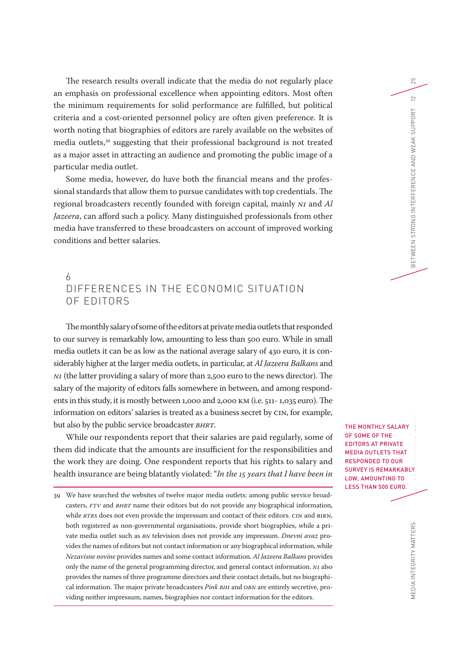The research results overall indicate that the media do not regularly place an emphasis on professional excellence when appointing editors. Most often the minimum requirements for solid performance are fulfilled, but political criteria and a cost-oriented personnel policy are often given preference. It is worth noting that biographies of editors are rarely available on the websites of media outlets,39 suggesting that their professional background is not treated as a major asset in attracting an audience and promoting the public image of a particular media outlet.

Some media, however, do have both the financial means and the professional standards that allow them to pursue candidates with top credentials. The regional broadcasters recently founded with foreign capital, mainly *N1* and *Al Jazeera*, can afford such a policy. Many distinguished professionals from other media have transferred to these broadcasters on account of improved working conditions and better salaries.

# 6 DIFFERENCES IN THE ECONOMIC SITUATION OF EDITORS

The monthly salary of some of the editors at private media outlets that responded to our survey is remarkably low, amounting to less than 500 euro. While in small media outlets it can be as low as the national average salary of 430 euro, it is considerably higher at the larger media outlets, in particular, at *Al Jazeera Balkans* and *N1* (the latter providing a salary of more than 2,500 euro to the news director). The salary of the majority of editors falls somewhere in between, and among respondents in this study, it is mostly between 1,000 and 2,000 KM (i.e. 511- 1,035 euro). The information on editors' salaries is treated as a business secret by CIN, for example, but also by the public service broadcaster *BHRT*.

While our respondents report that their salaries are paid regularly, some of them did indicate that the amounts are insufficient for the responsibilities and the work they are doing. One respondent reports that his rights to salary and health insurance are being blatantly violated: "*In the 15 years that I have been in* 

THE EDITORS<br>THE EDITORS THE MONTHLY SALARY OF SOME OF THE EDITORS AT PRIVATE MEDIA OUTLETS THAT RESPONDED TO OUR SURVEY IS REMARKABLY LOW, AMOUNTING TO LESS THAN 500 EURO.

25

 $\approx$ 

<sup>39</sup> We have searched the websites of twelve major media outlets: among public service broadcasters, *FTV* and *BHRT* name their editors but do not provide any biographical information, while *RTRS* does not even provide the impressum and contact of their editors. CIN and BIRN, both registered as non-governmental organisations, provide short biographies, while a private media outlet such as *BN* television does not provide any impressum. *Dnevni avaz* provides the names of editors but not contact information or any biographical information, while *Nezavisne novine* provides names and some contact information. *Al Jazeera Balkans* provides only the name of the general programming director, and general contact information. *N1* also provides the names of three programme directors and their contact details, but no biographical information. The major private broadcasters *Pink BIH* and *OBN* are entirely secretive, providing neither impressum, names, biographies nor contact information for the editors.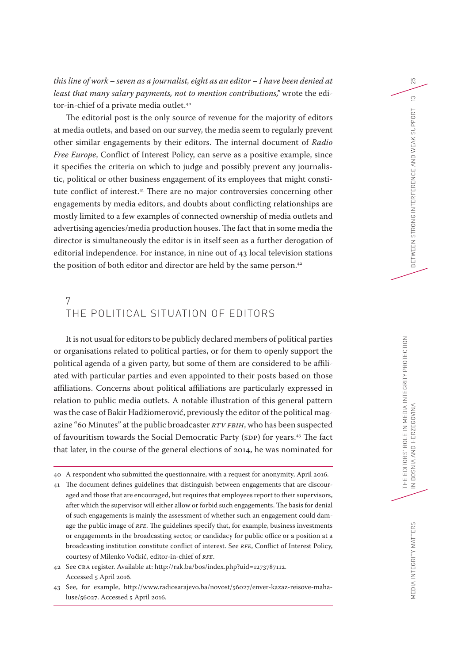*this line of work – seven as a journalist, eight as an editor – I have been denied at least that many salary payments, not to mention contributions,"* wrote the editor-in-chief of a private media outlet.<sup>40</sup>

The editorial post is the only source of revenue for the majority of editors at media outlets, and based on our survey, the media seem to regularly prevent other similar engagements by their editors. The internal document of *Radio Free Europe*, Conflict of Interest Policy, can serve as a positive example, since it specifies the criteria on which to judge and possibly prevent any journalistic, political or other business engagement of its employees that might constitute conflict of interest.<sup>41</sup> There are no major controversies concerning other engagements by media editors, and doubts about conflicting relationships are mostly limited to a few examples of connected ownership of media outlets and advertising agencies/media production houses. The fact that in some media the director is simultaneously the editor is in itself seen as a further derogation of editorial independence. For instance, in nine out of 43 local television stations the position of both editor and director are held by the same person.<sup>42</sup>

# 7 THE POLITICAL SITUATION OF EDITORS

It is not usual for editors to be publicly declared members of political parties or organisations related to political parties, or for them to openly support the political agenda of a given party, but some of them are considered to be affiliated with particular parties and even appointed to their posts based on those affiliations. Concerns about political affiliations are particularly expressed in relation to public media outlets. A notable illustration of this general pattern was the case of Bakir Hadžiomerović, previously the editor of the political magazine "60 Minutes" at the public broadcaster *RTV FBIH*, who has been suspected of favouritism towards the Social Democratic Party (SDP) for years.43 The fact that later, in the course of the general elections of 2014, he was nominated for 25

 $\frac{1}{2}$ 

<sup>40</sup> A respondent who submitted the questionnaire, with a request for anonymity, April 2016.

<sup>41</sup> The document defines guidelines that distinguish between engagements that are discouraged and those that are encouraged, but requires that employees report to their supervisors, after which the supervisor will either allow or forbid such engagements. The basis for denial of such engagements is mainly the assessment of whether such an engagement could damage the public image of *RFE*. The guidelines specify that, for example, business investments or engagements in the broadcasting sector, or candidacy for public office or a position at a broadcasting institution constitute conflict of interest. See *RFE*, Conflict of Interest Policy, courtesy of Milenko Vočkić, editor-in-chief of *RFE*.

<sup>42</sup> See CRA register. Available at: [http://rak.ba/bos/index.php?uid=1273787112.](http://rak.ba/bos/index.php?uid=1273787112) Accessed 5 April 2016.

<sup>43</sup> See, for example, [http://www.radiosarajevo.ba/novost/56027/enver-kazaz-reisove-maha](http://www.radiosarajevo.ba/novost/56027/enver-kazaz-reisove-mahaluse/56027)[luse/56027.](http://www.radiosarajevo.ba/novost/56027/enver-kazaz-reisove-mahaluse/56027) Accessed 5 April 2016.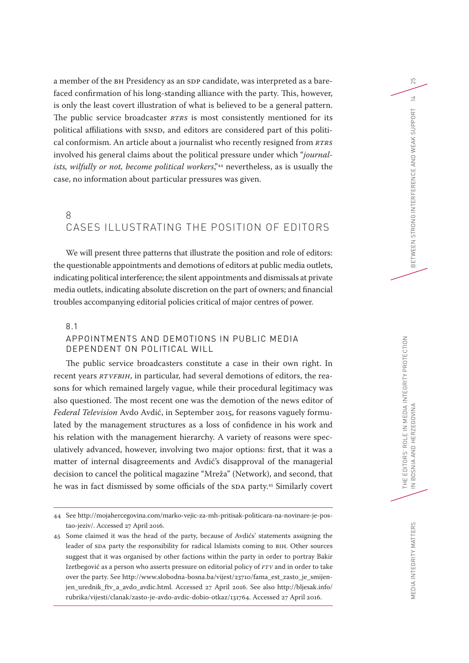a member of the BH Presidency as an SDP candidate, was interpreted as a barefaced confirmation of his long-standing alliance with the party. This, however, is only the least covert illustration of what is believed to be a general pattern. The public service broadcaster *RTRS* is most consistently mentioned for its political affiliations with SNSD, and editors are considered part of this political conformism. An article about a journalist who recently resigned from *RTRS* involved his general claims about the political pressure under which "*journalists, wilfully or not, become political workers*,"44 nevertheless, as is usually the case, no information about particular pressures was given.

# 8 CASES ILLUSTRATING THE POSITION OF EDITORS

We will present three patterns that illustrate the position and role of editors: the questionable appointments and demotions of editors at public media outlets, indicating political interference; the silent appointments and dismissals at private media outlets, indicating absolute discretion on the part of owners; and financial troubles accompanying editorial policies critical of major centres of power.

## 8.1

## APPOINTMENTS AND DEMOTIONS IN PUBLIC MEDIA DEPENDENT ON POLITICAL WILL

The public service broadcasters constitute a case in their own right. In recent years *RTVFBIH*, in particular, had several demotions of editors, the reasons for which remained largely vague, while their procedural legitimacy was also questioned. The most recent one was the demotion of the news editor of *Federal Television* Avdo Avdić, in September 2015, for reasons vaguely formulated by the management structures as a loss of confidence in his work and his relation with the management hierarchy. A variety of reasons were speculatively advanced, however, involving two major options: first, that it was a matter of internal disagreements and Avdić's disapproval of the managerial decision to cancel the political magazine "Mreža" (Network), and second, that he was in fact dismissed by some officials of the SDA party.45 Similarly covert

<sup>44</sup> See [http://mojahercegovina.com/marko-vejic-za-mh-pritisak-politicara-na-novinare-je-pos](http://mojahercegovina.com/marko-vejic-za-mh-pritisak-politicara-na-novinare-je-postao-jeziv/)[tao-jeziv/](http://mojahercegovina.com/marko-vejic-za-mh-pritisak-politicara-na-novinare-je-postao-jeziv/). Accessed 27 April 2016.

<sup>45</sup> Some claimed it was the head of the party, because of Avdićs' statements assigning the leader of SDA party the responsibility for radical Islamists coming to BIH. Other sources suggest that it was organised by other factions within the party in order to portray Bakir Izetbegović as a person who asserts pressure on editorial policy of *FTV* and in order to take over the party. See [http://www.slobodna-bosna.ba/vijest/23710/fama\\_est\\_zasto\\_je\\_smijen](http://www.slobodna-bosna.ba/vijest/23710/fama_est_zasto_je_smijenjen_urednik_ftv_a_avdo_avdic.html)[jen\\_urednik\\_ftv\\_a\\_avdo\\_avdic.html](http://www.slobodna-bosna.ba/vijest/23710/fama_est_zasto_je_smijenjen_urednik_ftv_a_avdo_avdic.html). Accessed 27 April 2016. See also [http://bljesak.info/](http://bljesak.info/rubrika/vijesti/clanak/zasto-je-avdo-avdic-dobio-otkaz/131764) [rubrika/vijesti/clanak/zasto-je-avdo-avdic-dobio-otkaz/131764](http://bljesak.info/rubrika/vijesti/clanak/zasto-je-avdo-avdic-dobio-otkaz/131764). Accessed 27 April 2016.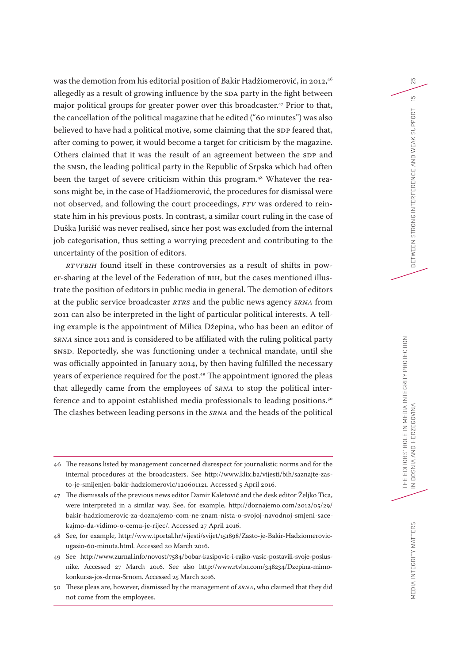was the demotion from his editorial position of Bakir Hadžiomerović, in 2012, 46 allegedly as a result of growing influence by the SDA party in the fight between major political groups for greater power over this broadcaster.<sup>47</sup> Prior to that, the cancellation of the political magazine that he edited ("60 minutes") was also believed to have had a political motive, some claiming that the SDP feared that, after coming to power, it would become a target for criticism by the magazine. Others claimed that it was the result of an agreement between the SDP and the SNSD, the leading political party in the Republic of Srpska which had often been the target of severe criticism within this program.<sup>48</sup> Whatever the reasons might be, in the case of Hadžiomerović, the procedures for dismissal were not observed, and following the court proceedings, *FTV* was ordered to reinstate him in his previous posts. In contrast, a similar court ruling in the case of Duška Jurišić was never realised, since her post was excluded from the internal job categorisation, thus setting a worrying precedent and contributing to the uncertainty of the position of editors.

*RTVFBIH* found itself in these controversies as a result of shifts in power-sharing at the level of the Federation of BIH, but the cases mentioned illustrate the position of editors in public media in general. The demotion of editors at the public service broadcaster *RTRS* and the public news agency *SRNA* from 2011 can also be interpreted in the light of particular political interests. A telling example is the appointment of Milica Džepina, who has been an editor of *SRNA* since 2011 and is considered to be affiliated with the ruling political party SNSD. Reportedly, she was functioning under a technical mandate, until she was officially appointed in January 2014, by then having fulfilled the necessary years of experience required for the post.49 The appointment ignored the pleas that allegedly came from the employees of *SRNA* to stop the political interference and to appoint established media professionals to leading positions.<sup>50</sup> The clashes between leading persons in the *SRNA* and the heads of the political 25

<sup>46</sup> The reasons listed by management concerned disrespect for journalistic norms and for the internal procedures at the broadcasters. See [http://www.klix.ba/vijesti/bih/saznajte-zas](http://www.klix.ba/vijesti/bih/saznajte-zasto-je-smijenjen-bakir-hadziomerovic/120601121)[to-je-smijenjen-bakir-hadziomerovic/120601121.](http://www.klix.ba/vijesti/bih/saznajte-zasto-je-smijenjen-bakir-hadziomerovic/120601121) Accessed 5 April 2016.

<sup>47</sup> The dismissals of the previous news editor Damir Kaletović and the desk editor Željko Tica, were interpreted in a similar way. See, for example, [http://doznajemo.com/2012/05/29/](http://doznajemo.com/2012/05/29/bakir-hadziomerovic-za-doznajemo-com-ne-znam-nista-o-svojoj-navodnoj-smjeni-sacekajmo-da-vidimo-o-cemu-je-rijec/) [bakir-hadziomerovic-za-doznajemo-com-ne-znam-nista-o-svojoj-navodnoj-smjeni-sace](http://doznajemo.com/2012/05/29/bakir-hadziomerovic-za-doznajemo-com-ne-znam-nista-o-svojoj-navodnoj-smjeni-sacekajmo-da-vidimo-o-cemu-je-rijec/)[kajmo-da-vidimo-o-cemu-je-rijec/](http://doznajemo.com/2012/05/29/bakir-hadziomerovic-za-doznajemo-com-ne-znam-nista-o-svojoj-navodnoj-smjeni-sacekajmo-da-vidimo-o-cemu-je-rijec/). Accessed 27 April 2016.

<sup>48</sup> See, for example, [http://www.tportal.hr/vijesti/svijet/151898/Zasto-je-Bakir-Hadziomerovic](http://www.tportal.hr/vijesti/svijet/151898/Zasto-je-Bakir-Hadziomerovic-ugasio-60-minuta.html)[ugasio-60-minuta.html](http://www.tportal.hr/vijesti/svijet/151898/Zasto-je-Bakir-Hadziomerovic-ugasio-60-minuta.html). Accessed 20 March 2016.

<sup>49</sup> See [http://www.zurnal.info/novost/7584/bobar-kasipovic-i-rajko-vasic-postavili-svoje-poslus](http://www.zurnal.info/novost/7584/bobar-kasipovic-i-rajko-vasic-postavili-svoje-poslusnike)[nike.](http://www.zurnal.info/novost/7584/bobar-kasipovic-i-rajko-vasic-postavili-svoje-poslusnike) Accessed 27 March 2016. See also [http://www.rtvbn.com/348234/Dzepina-mimo](http://www.rtvbn.com/348234/Dzepina-mimo-konkursa-jos-drma-Srnom)[konkursa-jos-drma-Srnom](http://www.rtvbn.com/348234/Dzepina-mimo-konkursa-jos-drma-Srnom). Accessed 25 March 2016.

<sup>50</sup> These pleas are, however, dismissed by the management of *SRNA*, who claimed that they did not come from the employees.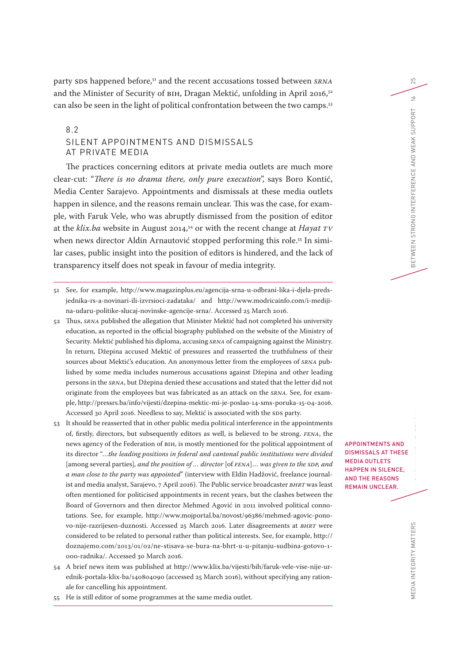party SDS happened before, 51 and the recent accusations tossed between *SRNA* and the Minister of Security of BIH, Dragan Mektić, unfolding in April 2016,<sup>52</sup> can also be seen in the light of political confrontation between the two camps.53

## 8.2 SILENT APPOINTMENTS AND DISMISSALS AT PRIVATE MEDIA

The practices concerning editors at private media outlets are much more clear-cut: "*There is no drama there, only pure execution*", says Boro Kontić, Media Center Sarajevo. Appointments and dismissals at these media outlets happen in silence, and the reasons remain unclear. This was the case, for example, with Faruk Vele, who was abruptly dismissed from the position of editor at the *klix.ba* website in August 2014,54 or with the recent change at *Hayat TV* when news director Aldin Arnautović stopped performing this role.<sup>55</sup> In similar cases, public insight into the position of editors is hindered, and the lack of transparency itself does not speak in favour of media integrity.

- 51 See, for example, [http://www.magazinplus.eu/agencija-srna-u-odbrani-lika-i-djela-preds](http://www.magazinplus.eu/agencija-srna-u-odbrani-lika-i-djela-predsjednika-rs-a-novinari-ili-izvrsioci-zadataka/)[jednika-rs-a-novinari-ili-izvrsioci-zadataka/](http://www.magazinplus.eu/agencija-srna-u-odbrani-lika-i-djela-predsjednika-rs-a-novinari-ili-izvrsioci-zadataka/) and [http://www.modricainfo.com/i-mediji](http://www.modricainfo.com/i-mediji-na-udaru-politike-slucaj-novinske-agencije-srna/)[na-udaru-politike-slucaj-novinske-agencije-srna/](http://www.modricainfo.com/i-mediji-na-udaru-politike-slucaj-novinske-agencije-srna/). Accessed 25 March 2016.
- 52 Thus, *SRNA* published the allegation that Minister Mektić had not completed his university education, as reported in the official biography published on the website of the Ministry of Security. Mektić published his diploma, accusing *SRNA* of campaigning against the Ministry. In return, Džepina accused Mektić of pressures and reasserted the truthfulness of their sources about Mektić's education. An anonymous letter from the employees of *SRNA* published by some media includes numerous accusations against Džepina and other leading persons in the *SRNA*, but Džepina denied these accusations and stated that the letter did not originate from the employees but was fabricated as an attack on the *SRNA*. See, for example,<http://pressrs.ba/info/vijesti/dzepina-mektic-mi-je-poslao-14-sms-poruka-15-04-2016>. Accessed 30 April 2016. Needless to say, Mektić is associated with the SDS party.
- 53 It should be reasserted that in other public media political interference in the appointments of, firstly, directors, but subsequently editors as well, is believed to be strong. *FENA*, the news agency of the Federation of BIH, is mostly mentioned for the political appointment of its director "…*the leading positions in federal and cantonal public institutions were divided*  [among several parties]*, and the position of … director* [of *FENA*]… *was given to the SDP, and a man close to the party was appointed*" (interview with Eldin Hadžović, freelance journalist and media analyst, Sarajevo, 7 April 2016). The Public service broadcaster *BHRT* was least often mentioned for politicised appointments in recent years, but the clashes between the Board of Governors and then director Mehmed Agović in 2011 involved political connotations. See, for example, [http://www.mojportal.ba/novost/96386/mehmed-agovic-pono](http://www.mojportal.ba/novost/96386/mehmed-agovic-ponovo-nije-razrijesen-duznosti)[vo-nije-razrijesen-duznosti.](http://www.mojportal.ba/novost/96386/mehmed-agovic-ponovo-nije-razrijesen-duznosti) Accessed 25 March 2016. Later disagreements at *BHRT* were considered to be related to personal rather than political interests. See, for example, [http://](http://doznajemo.com/2013/01/02/ne-stisava-se-bura-na-bhrt-u-u-pitanju-sudbina-gotovo-1-000-radnika/) [doznajemo.com/2013/01/02/ne-stisava-se-bura-na-bhrt-u-u-pitanju-sudbina-gotovo-1-](http://doznajemo.com/2013/01/02/ne-stisava-se-bura-na-bhrt-u-u-pitanju-sudbina-gotovo-1-000-radnika/) [000-radnika/.](http://doznajemo.com/2013/01/02/ne-stisava-se-bura-na-bhrt-u-u-pitanju-sudbina-gotovo-1-000-radnika/) Accessed 30 March 2016.
- 54 A brief news item was published at [http://www.klix.ba/vijesti/bih/faruk-vele-vise-nije-ur](http://www.klix.ba/vijesti/bih/faruk-vele-vise-nije-urednik-portala-klix-ba/140804090)[ednik-portala-klix-ba/140804090](http://www.klix.ba/vijesti/bih/faruk-vele-vise-nije-urednik-portala-klix-ba/140804090) (accessed 25 March 2016), without specifying any rationale for cancelling his appointment.
- 55 He is still editor of some programmes at the same media outlet.

THE EDITORS' ROLE IN MEDIA INTEGRITY PROTECTION CONTINUES.<br>The Editor APPOINTMENTS AND DISMISSALS AT THESE MEDIA OUTLETS HAPPEN IN SILENCE, AND THE REASONS REMAIN UNCLEAR.

MEDIA INTEGRITY MATTERS MEDIA INTEGRITY MATTERS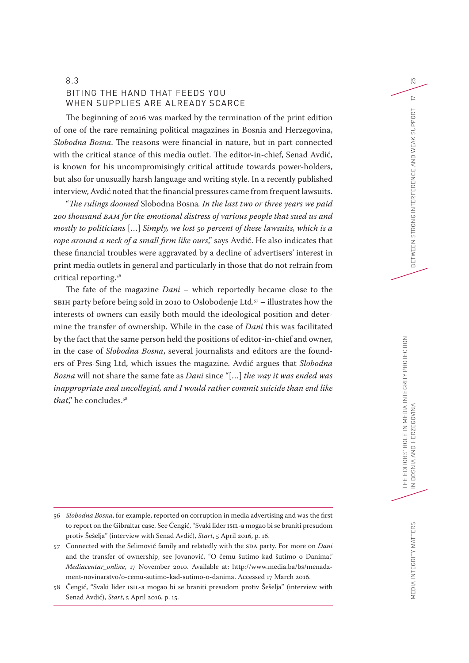## 8.3 BITING THE HAND THAT FEEDS YOU WHEN SUPPLIES ARE ALREADY SCARCE

The beginning of 2016 was marked by the termination of the print edition of one of the rare remaining political magazines in Bosnia and Herzegovina, *Slobodna Bosna*. The reasons were financial in nature, but in part connected with the critical stance of this media outlet. The editor-in-chief, Senad Avdić, is known for his uncompromisingly critical attitude towards power-holders, but also for unusually harsh language and writing style. In a recently published interview, Avdić noted that the financial pressures came from frequent lawsuits.

"*The rulings doomed* Slobodna Bosna*. In the last two or three years we paid 200 thousand BAM for the emotional distress of various people that sued us and mostly to politicians* […] *Simply, we lost 50 percent of these lawsuits, which is a rope around a neck of a small firm like ours*," says Avdić. He also indicates that these financial troubles were aggravated by a decline of advertisers' interest in print media outlets in general and particularly in those that do not refrain from critical reporting.56

The fate of the magazine *Dani* – which reportedly became close to the SBIH party before being sold in 2010 to Oslobođenje Ltd.57 – illustrates how the interests of owners can easily both mould the ideological position and determine the transfer of ownership. While in the case of *Dani* this was facilitated by the fact that the same person held the positions of editor-in-chief and owner, in the case of *Slobodna Bosna*, several journalists and editors are the founders of Pres-Sing Ltd, which issues the magazine. Avdić argues that *Slobodna Bosna* will not share the same fate as *Dani* since "[…] *the way it was ended was inappropriate and uncollegial, and I would rather commit suicide than end like*  that," he concludes.<sup>58</sup>

- 56 *Slobodna Bosna*, for example, reported on corruption in media advertising and was the first to report on the Gibraltar case. See Čengić, "Svaki lider ISIL-a mogao bi se braniti presudom protiv Šešelja" (interview with Senad Avdić), *Start*, 5 April 2016, p. 16.
- 57 Connected with the Selimović family and relatedly with the SDA party. For more on *Dani* and the transfer of ownership, see Jovanović, "O čemu šutimo kad šutimo o Danima," *Mediacentar\_online*, 17 November 2010. Available at: [http://www.media.ba/bs/menadz](http://www.media.ba/bs/menadzment-novinarstvo/o-cemu-sutimo-kad-sutimo-o-danima)[ment-novinarstvo/o-cemu-sutimo-kad-sutimo-o-danima.](http://www.media.ba/bs/menadzment-novinarstvo/o-cemu-sutimo-kad-sutimo-o-danima) Accessed 17 March 2016.

25

 $\geq$ 

<sup>58</sup> Čengić, "Svaki lider ISIL-a mogao bi se braniti presudom protiv Šešelja" (interview with Senad Avdić), *Start*, 5 April 2016, p. 15.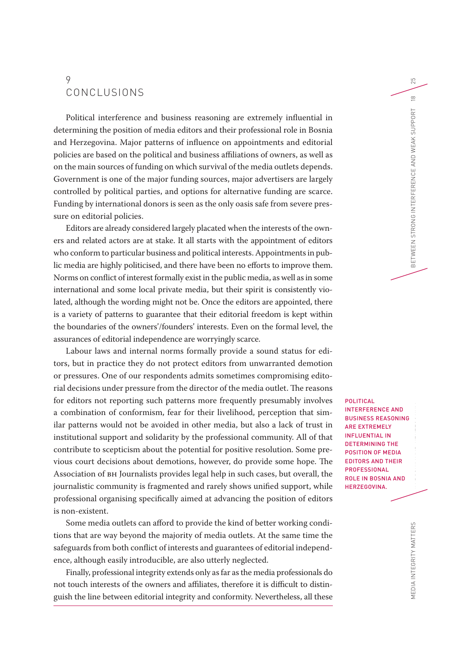# 9 CONCLUSIONS

Political interference and business reasoning are extremely influential in determining the position of media editors and their professional role in Bosnia and Herzegovina. Major patterns of influence on appointments and editorial policies are based on the political and business affiliations of owners, as well as on the main sources of funding on which survival of the media outlets depends. Government is one of the major funding sources, major advertisers are largely controlled by political parties, and options for alternative funding are scarce. Funding by international donors is seen as the only oasis safe from severe pressure on editorial policies.

Editors are already considered largely placated when the interests of the owners and related actors are at stake. It all starts with the appointment of editors who conform to particular business and political interests. Appointments in public media are highly politicised, and there have been no efforts to improve them. Norms on conflict of interest formally exist in the public media, as well as in some international and some local private media, but their spirit is consistently violated, although the wording might not be. Once the editors are appointed, there is a variety of patterns to guarantee that their editorial freedom is kept within the boundaries of the owners'/founders' interests. Even on the formal level, the assurances of editorial independence are worryingly scarce.

Labour laws and internal norms formally provide a sound status for editors, but in practice they do not protect editors from unwarranted demotion or pressures. One of our respondents admits sometimes compromising editorial decisions under pressure from the director of the media outlet. The reasons for editors not reporting such patterns more frequently presumably involves a combination of conformism, fear for their livelihood, perception that similar patterns would not be avoided in other media, but also a lack of trust in institutional support and solidarity by the professional community. All of that contribute to scepticism about the potential for positive resolution. Some previous court decisions about demotions, however, do provide some hope. The Association of BH Journalists provides legal help in such cases, but overall, the journalistic community is fragmented and rarely shows unified support, while professional organising specifically aimed at advancing the position of editors is non-existent.

Some media outlets can afford to provide the kind of better working conditions that are way beyond the majority of media outlets. At the same time the safeguards from both conflict of interests and guarantees of editorial independence, although easily introducible, are also utterly neglected.

Finally, professional integrity extends only as far as the media professionals do not touch interests of the owners and affiliates, therefore it is difficult to distinguish the line between editorial integrity and conformity. Nevertheless, all these

)<br>D<br>D POLITICAL INTERFERENCE AND BUSINESS REASONING ARE EXTREMELY INFLUENTIAL IN DETERMINING THE POSITION OF MEDIA EDITORS AND THEIR PROFESSIONAL ROLE IN BOSNIA AND HERZEGOVINA.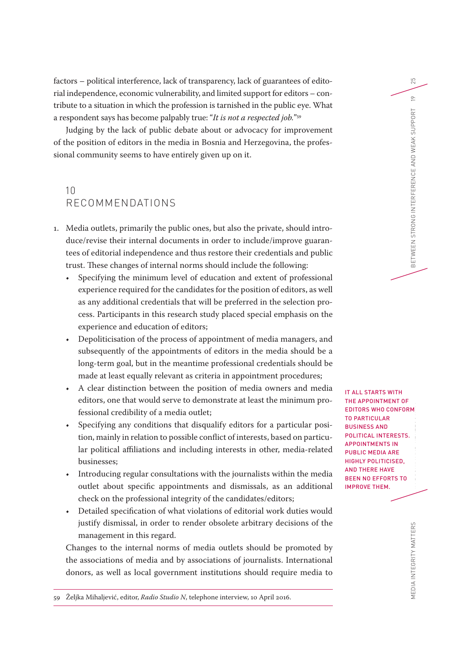factors – political interference, lack of transparency, lack of guarantees of editorial independence, economic vulnerability, and limited support for editors – contribute to a situation in which the profession is tarnished in the public eye. What a respondent says has become palpably true: "*It is not a respected job.*"59

Judging by the lack of public debate about or advocacy for improvement of the position of editors in the media in Bosnia and Herzegovina, the professional community seems to have entirely given up on it.

# 10 RECOMMENDATIONS

- 1. Media outlets, primarily the public ones, but also the private, should introduce/revise their internal documents in order to include/improve guarantees of editorial independence and thus restore their credentials and public trust. These changes of internal norms should include the following:
	- Specifying the minimum level of education and extent of professional experience required for the candidates for the position of editors, as well as any additional credentials that will be preferred in the selection process. Participants in this research study placed special emphasis on the experience and education of editors;
	- Depoliticisation of the process of appointment of media managers, and subsequently of the appointments of editors in the media should be a long-term goal, but in the meantime professional credentials should be made at least equally relevant as criteria in appointment procedures;
	- A clear distinction between the position of media owners and media editors, one that would serve to demonstrate at least the minimum professional credibility of a media outlet;
	- Specifying any conditions that disqualify editors for a particular position, mainly in relation to possible conflict of interests, based on particular political affiliations and including interests in other, media-related businesses;
	- Introducing regular consultations with the journalists within the media outlet about specific appointments and dismissals, as an additional check on the professional integrity of the candidates/editors;
	- Detailed specification of what violations of editorial work duties would justify dismissal, in order to render obsolete arbitrary decisions of the management in this regard.

Changes to the internal norms of media outlets should be promoted by the associations of media and by associations of journalists. International donors, as well as local government institutions should require media to

59 Željka Mihaljević, editor, *Radio Studio N*, telephone interview, 10 April 2016.

OI<br>TS<br>'O IT ALL STARTS WITH THE APPOINTMENT OF EDITORS WHO CONFORM TO PARTICULAR BUSINESS AND POLITICAL INTERESTS. APPOINTMENTS IN PUBLIC MEDIA ARE HIGHLY POLITICISED, AND THERE HAVE BEEN NO EFFORTS TO IMPROVE THEM.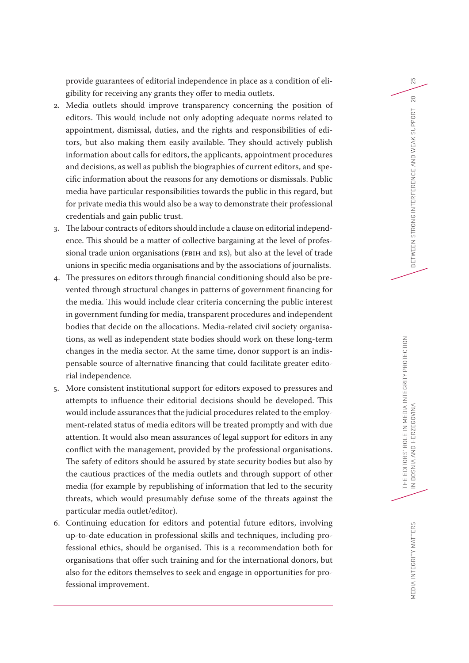provide guarantees of editorial independence in place as a condition of eligibility for receiving any grants they offer to media outlets.

- 2. Media outlets should improve transparency concerning the position of editors. This would include not only adopting adequate norms related to appointment, dismissal, duties, and the rights and responsibilities of editors, but also making them easily available. They should actively publish information about calls for editors, the applicants, appointment procedures and decisions, as well as publish the biographies of current editors, and specific information about the reasons for any demotions or dismissals. Public media have particular responsibilities towards the public in this regard, but for private media this would also be a way to demonstrate their professional credentials and gain public trust.
- 3. The labour contracts of editors should include a clause on editorial independence. This should be a matter of collective bargaining at the level of professional trade union organisations (FBIH and RS), but also at the level of trade unions in specific media organisations and by the associations of journalists.
- 4. The pressures on editors through financial conditioning should also be prevented through structural changes in patterns of government financing for the media. This would include clear criteria concerning the public interest in government funding for media, transparent procedures and independent bodies that decide on the allocations. Media-related civil society organisations, as well as independent state bodies should work on these long-term changes in the media sector. At the same time, donor support is an indispensable source of alternative financing that could facilitate greater editorial independence.
- 5. More consistent institutional support for editors exposed to pressures and attempts to influence their editorial decisions should be developed. This would include assurances that the judicial procedures related to the employment-related status of media editors will be treated promptly and with due attention. It would also mean assurances of legal support for editors in any conflict with the management, provided by the professional organisations. The safety of editors should be assured by state security bodies but also by the cautious practices of the media outlets and through support of other media (for example by republishing of information that led to the security threats, which would presumably defuse some of the threats against the particular media outlet/editor).
- 6. Continuing education for editors and potential future editors, involving up-to-date education in professional skills and techniques, including professional ethics, should be organised. This is a recommendation both for organisations that offer such training and for the international donors, but also for the editors themselves to seek and engage in opportunities for professional improvement.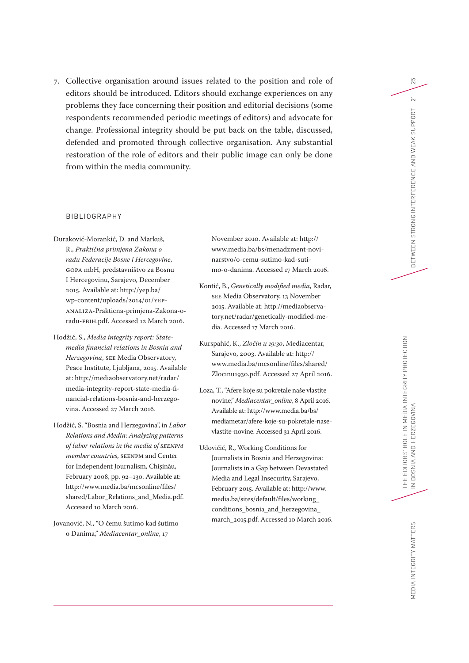7. Collective organisation around issues related to the position and role of editors should be introduced. Editors should exchange experiences on any problems they face concerning their position and editorial decisions (some respondents recommended periodic meetings of editors) and advocate for change. Professional integrity should be put back on the table, discussed, defended and promoted through collective organisation. Any substantial restoration of the role of editors and their public image can only be done from within the media community.

#### BIBLIOGRAPHY

- Duraković-Morankić, D. and Markuš, R., *Praktična primjena Zakona o radu Federacije Bosne i Hercegovine*, GOPA mbH, predstavništvo za Bosnu I Hercegovinu, Sarajevo, December 2015. Available at: [http://yep.ba/](http://yep.ba/wp-content/uploads/2014/01/YEP-ANALIZA-Prakticna-primjena-Zakona-o-radu-FBiH.pdf) [wp-content/uploads/2014/01/YEP-](http://yep.ba/wp-content/uploads/2014/01/YEP-ANALIZA-Prakticna-primjena-Zakona-o-radu-FBiH.pdf)[ANALIZA-Prakticna-primjena-Zakona-o](http://yep.ba/wp-content/uploads/2014/01/YEP-ANALIZA-Prakticna-primjena-Zakona-o-radu-FBiH.pdf)[radu-FBiH.pdf.](http://yep.ba/wp-content/uploads/2014/01/YEP-ANALIZA-Prakticna-primjena-Zakona-o-radu-FBiH.pdf) Accessed 12 March 2016.
- Hodžić, S., *Media integrity report: Statemedia financial relations in Bosnia and Herzegovina*, SEE Media Observatory, Peace Institute, Ljubljana, 2015. Available at: [http://mediaobservatory.net/radar/](http://mediaobservatory.net/radar/media-integrity-report-state-media-financial-relations-bosnia-and-herzegovina) [media-integrity-report-state-media-fi](http://mediaobservatory.net/radar/media-integrity-report-state-media-financial-relations-bosnia-and-herzegovina)[nancial-relations-bosnia-and-herzego](http://mediaobservatory.net/radar/media-integrity-report-state-media-financial-relations-bosnia-and-herzegovina)[vina.](http://mediaobservatory.net/radar/media-integrity-report-state-media-financial-relations-bosnia-and-herzegovina) Accessed 27 March 2016.
- Hodžić, S. "Bosnia and Herzegovina", in *Labor Relations and Media: Analyzing patterns of labor relations in the media of SEENPM member countries*, SEENPM and Center for Independent Journalism, Chișinău, February 2008, pp. 92–130. Available at: [http://www.media.ba/mcsonline/files/](http://www.media.ba/mcsonline/files/shared/Labor_Relations_and_Media.pdf) [shared/Labor\\_Relations\\_and\\_Media.pdf](http://www.media.ba/mcsonline/files/shared/Labor_Relations_and_Media.pdf). Accessed 10 March 2016.
- Jovanović, N., "O čemu šutimo kad šutimo o Danima," *Mediacentar\_online*, 17

November 2010. Available at: [http://](http://www.media.ba/bs/menadzment-novinarstvo/o-cemu-sutimo-kad-sutimo-o-danima) [www.media.ba/bs/menadzment-novi](http://www.media.ba/bs/menadzment-novinarstvo/o-cemu-sutimo-kad-sutimo-o-danima)[narstvo/o-cemu-sutimo-kad-suti](http://www.media.ba/bs/menadzment-novinarstvo/o-cemu-sutimo-kad-sutimo-o-danima)[mo-o-danima](http://www.media.ba/bs/menadzment-novinarstvo/o-cemu-sutimo-kad-sutimo-o-danima). Accessed 17 March 2016.

- Kontić, B., *Genetically modified media*, Radar, SEE Media Observatory, 13 November 2015. Available at: [http://mediaobserva](http://mediaobservatory.net/radar/genetically-modified-media)[tory.net/radar/genetically-modified-me](http://mediaobservatory.net/radar/genetically-modified-media)[dia.](http://mediaobservatory.net/radar/genetically-modified-media) Accessed 17 March 2016.
- Kurspahić, K., *Zločin u 19:30*, Mediacentar, Sarajevo, 2003. Available at: [http://](http://www.media.ba/mcsonline/files/shared/Zlocinu1930.pdf) [www.media.ba/mcsonline/files/shared/](http://www.media.ba/mcsonline/files/shared/Zlocinu1930.pdf) [Zlocinu1930.pdf](http://www.media.ba/mcsonline/files/shared/Zlocinu1930.pdf). Accessed 27 April 2016.
- Loza, T., "Afere koje su pokretale naše vlastite novine," *Mediacentar\_online*, 8 April 2016. Available at: [http://www.media.ba/bs/](http://www.media.ba/bs/mediametar/afere-koje-su-pokretale-nase-vlastite-novine) [mediametar/afere-koje-su-pokretale-nase](http://www.media.ba/bs/mediametar/afere-koje-su-pokretale-nase-vlastite-novine)[vlastite-novine](http://www.media.ba/bs/mediametar/afere-koje-su-pokretale-nase-vlastite-novine). Accessed 31 April 2016.
- Udovičić, R., Working Conditions for Journalists in Bosnia and Herzegovina: Journalists in a Gap between Devastated Media and Legal Insecurity, Sarajevo, February 2015. Available at: [http://www.](http://www.media.ba/sites/default/files/working_conditions_bosnia_and_herzegovina_march_2015.pdf) [media.ba/sites/default/files/working\\_](http://www.media.ba/sites/default/files/working_conditions_bosnia_and_herzegovina_march_2015.pdf) [conditions\\_bosnia\\_and\\_herzegovina\\_](http://www.media.ba/sites/default/files/working_conditions_bosnia_and_herzegovina_march_2015.pdf) [march\\_2015.pdf.](http://www.media.ba/sites/default/files/working_conditions_bosnia_and_herzegovina_march_2015.pdf) Accessed 10 March 2016.

THE EDITORS' ROLE IN MEDIA INTEGRITY PROTECTION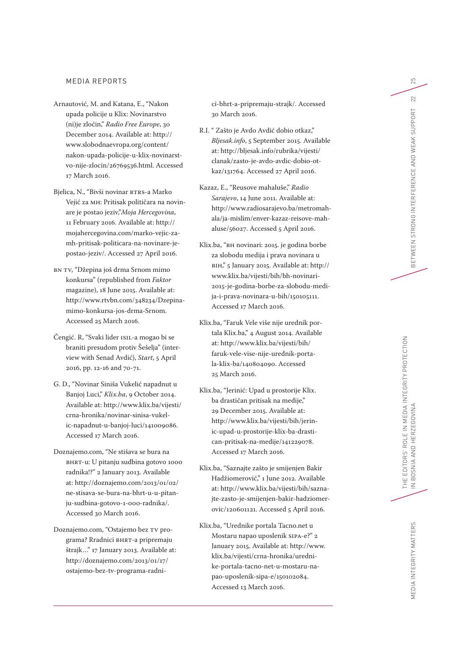#### MEDIA REPORTS

- Arnautović, M. and Katana, E., "Nakon upada policije u Klix: Novinarstvo (ni)je zločin," *Radio Free Europe*, 30 December 2014. Available at: [http://](http://www.slobodnaevropa.org/content/nakon-upada-policije-u-klix-novinarstvo-nije-zlocin/26769536.html) [www.slobodnaevropa.org/content/](http://www.slobodnaevropa.org/content/nakon-upada-policije-u-klix-novinarstvo-nije-zlocin/26769536.html) [nakon-upada-policije-u-klix-novinarst](http://www.slobodnaevropa.org/content/nakon-upada-policije-u-klix-novinarstvo-nije-zlocin/26769536.html) [vo-nije-zlocin/26769536.html.](http://www.slobodnaevropa.org/content/nakon-upada-policije-u-klix-novinarstvo-nije-zlocin/26769536.html) Accessed 17 March 2016.
- Bjelica, N., "Bivši novinar RTRS-a Marko Vejić za MH: Pritisak političara na novin are je postao jeziv,"*Moja Hercegovina*, 11 February 2016. Available at: [http://](http://mojahercegovina.com/marko-vejic-za-mh-pritisak-politicara-na-novinare-je-postao-jeziv/) [mojahercegovina.com/marko-vejic-za](http://mojahercegovina.com/marko-vejic-za-mh-pritisak-politicara-na-novinare-je-postao-jeziv/)[mh-pritisak-politicara-na-novinare-je](http://mojahercegovina.com/marko-vejic-za-mh-pritisak-politicara-na-novinare-je-postao-jeziv/)[postao-jeziv/.](http://mojahercegovina.com/marko-vejic-za-mh-pritisak-politicara-na-novinare-je-postao-jeziv/) Accessed 27 April 2016.
- BN TV, "Džepina još drma Srnom mimo konkursa" (republished from *Faktor* magazine), 18 June 2015. Available at: [http://www.rtvbn.com/348234/Dzepina](http://www.rtvbn.com/348234/Dzepina-mimo-konkursa-jos-drma-Srnom)[mimo-konkursa-jos-drma-Srnom.](http://www.rtvbn.com/348234/Dzepina-mimo-konkursa-jos-drma-Srnom) Accessed 25 March 2016.
- Čengić. R, "Svaki lider ISIL-a mogao bi se braniti presudom protiv Šešelja" (inter view with Senad Avdić), *Start*, 5 April 2016, pp. 12-16 and 70-71.
- G. D., "Novinar Siniša Vukelić napadnut u Banjoj Luci," *Klix.ba*, 9 October 2014. Available at: [http://www.klix.ba/vijesti/](http://www.klix.ba/vijesti/crna-hronika/novinar-sinisa-vukelic-napadnut-u-banjoj-luci/141009086) [crna-hronika/novinar-sinisa-vukel](http://www.klix.ba/vijesti/crna-hronika/novinar-sinisa-vukelic-napadnut-u-banjoj-luci/141009086) [ic-napadnut-u-banjoj-luci/141009086.](http://www.klix.ba/vijesti/crna-hronika/novinar-sinisa-vukelic-napadnut-u-banjoj-luci/141009086) Accessed 17 March 2016.
- Doznajemo.com, "Ne stišava se bura na BHRT-u: U pitanju sudbina gotovo 1000 radnika!?" 2 January 2013. Available at: [http://doznajemo.com/2013](http://doznajemo.com/2013/01/02/ne-stisava-se-bura-na-bhrt-u-u-pitanju-sudbina-gotovo-1-000-radnika/) /01 /02 / [ne-stisava-se-bura-na-bhrt-u-u-pitan](http://doznajemo.com/2013/01/02/ne-stisava-se-bura-na-bhrt-u-u-pitanju-sudbina-gotovo-1-000-radnika/) [ju-sudbina-gotovo-](http://doznajemo.com/2013/01/02/ne-stisava-se-bura-na-bhrt-u-u-pitanju-sudbina-gotovo-1-000-radnika/)1 -000-radnika/. Accessed 30 March 2016.
- Doznajemo.com, "Ostajemo bez TV pro grama? Rradnici BHRT-a pripremaju štrajk…" 17 January 2013. Available at: [http://doznajemo.com/2013](http://doznajemo.com/2013/01/17/ostajemo-bez-tv-programa-radnici-bhrt-a-pripremaju-strajk/) /01 /17 / [ostajemo-bez-tv-programa-radni](http://doznajemo.com/2013/01/17/ostajemo-bez-tv-programa-radnici-bhrt-a-pripremaju-strajk/) -

[ci-bhrt-a-pripremaju-strajk/](http://doznajemo.com/2013/01/17/ostajemo-bez-tv-programa-radnici-bhrt-a-pripremaju-strajk/). Accessed 30 March 2016.

- R.I. " Zašto je Avdo Avdić dobio otkaz," *Bljesak.info*, 5 September 2015. Available at: [http://bljesak.info/rubrika/vijesti/](http://bljesak.info/rubrika/vijesti/clanak/zasto-je-avdo-avdic-dobio-otkaz/131764) [clanak/zasto-je-avdo-avdic-dobio-ot](http://bljesak.info/rubrika/vijesti/clanak/zasto-je-avdo-avdic-dobio-otkaz/131764) [kaz/131764.](http://bljesak.info/rubrika/vijesti/clanak/zasto-je-avdo-avdic-dobio-otkaz/131764) Accessed 27 April 2016.
- Kazaz, E., "Reusove mahaluše," *Radio Sarajevo*, 14 June 2011. Available at: [http://www.radiosarajevo.ba/metromah](http://www.radiosarajevo.ba/metromahala/ja-mislim/enver-kazaz-reisove-mahaluse/56027) [ala/ja-mislim/enver-kazaz-reisove-mah](http://www.radiosarajevo.ba/metromahala/ja-mislim/enver-kazaz-reisove-mahaluse/56027) [aluse/56027.](http://www.radiosarajevo.ba/metromahala/ja-mislim/enver-kazaz-reisove-mahaluse/56027) Accessed 5 April 2016.
- Klix.ba, "BH novinari: 2015. je godina borbe za slobodu medija i prava novinara u BiH," 5 January 2015. Available at: [http://](http://www.klix.ba/vijesti/bih/bh-novinari-2015-je-godina-borbe-za-slobodu-medija-i-prava-novinara-u-bih/150105111) [www.klix.ba/vijesti/bih/bh-novinari-](http://www.klix.ba/vijesti/bih/bh-novinari-2015-je-godina-borbe-za-slobodu-medija-i-prava-novinara-u-bih/150105111)[2015-je-godina-borbe-za-slobodu-medi](http://www.klix.ba/vijesti/bih/bh-novinari-2015-je-godina-borbe-za-slobodu-medija-i-prava-novinara-u-bih/150105111) [ja-i-prava-novinara-u-bih/150105111.](http://www.klix.ba/vijesti/bih/bh-novinari-2015-je-godina-borbe-za-slobodu-medija-i-prava-novinara-u-bih/150105111) Accessed 17 March 2016.
- Klix.ba, "Faruk Vele više nije urednik por tala Klix.ba," 4 August 2014. Available at: [http://www.klix.ba/vijesti/bih/](http://www.klix.ba/vijesti/bih/faruk-vele-vise-nije-urednik-portala-klix-ba/140804090) [faruk-vele-vise-nije-urednik-porta](http://www.klix.ba/vijesti/bih/faruk-vele-vise-nije-urednik-portala-klix-ba/140804090) [la-klix-ba/140804090](http://www.klix.ba/vijesti/bih/faruk-vele-vise-nije-urednik-portala-klix-ba/140804090). Accessed 25 March 2016.
- Klix.ba, "Jerinić: Upad u prostorije Klix. ba drastičan pritisak na medije," 29 December 2015. Available at: [http://www.klix.ba/vijesti/bih/jerin](http://www.klix.ba/vijesti/bih/jerinic-upad-u-prostorije-klix-ba-drastican-pritisak-na-medije/141229078) [ic-upad-u-prostorije-klix-ba-drasti](http://www.klix.ba/vijesti/bih/jerinic-upad-u-prostorije-klix-ba-drastican-pritisak-na-medije/141229078) [can-pritisak-na-medije/141229078](http://www.klix.ba/vijesti/bih/jerinic-upad-u-prostorije-klix-ba-drastican-pritisak-na-medije/141229078). Accessed 17 March 2016.
- Klix.ba, "Saznajte zašto je smijenjen Bakir Hadžiomerović," 1 June 2012. Available at: [http://www.klix.ba/vijesti/bih/sazna](http://www.klix.ba/vijesti/bih/saznajte-zasto-je-smijenjen-bakir-hadziomerovic/120601121) [jte-zasto-je-smijenjen-bakir-hadziomer](http://www.klix.ba/vijesti/bih/saznajte-zasto-je-smijenjen-bakir-hadziomerovic/120601121) [ovic/120601121.](http://www.klix.ba/vijesti/bih/saznajte-zasto-je-smijenjen-bakir-hadziomerovic/120601121) Accessed 5 April 2016.
- Klix.ba, "Urednike portala Tacno.net u Mostaru napao uposlenik SIPA-e?" 2 January 2015. Available at: [http://www.](http://www.klix.ba/vijesti/crna-hronika/urednike-portala-tacno-net-u-mostaru-napao-uposlenik-sipa-e/150102084) [klix.ba/vijesti/crna-hronika/uredni](http://www.klix.ba/vijesti/crna-hronika/urednike-portala-tacno-net-u-mostaru-napao-uposlenik-sipa-e/150102084) [ke-portala-tacno-net-u-mostaru-na](http://www.klix.ba/vijesti/crna-hronika/urednike-portala-tacno-net-u-mostaru-napao-uposlenik-sipa-e/150102084) [pao-uposlenik-sipa-e/150102084](http://www.klix.ba/vijesti/crna-hronika/urednike-portala-tacno-net-u-mostaru-napao-uposlenik-sipa-e/150102084) . Accessed 13 March 2016.

MEDIA INTEGRITY MATTERS

MEDIA INTEGRITY MATTERS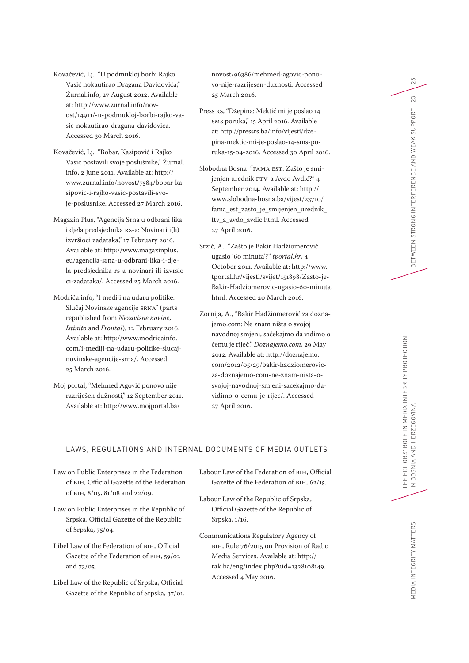Kovačević, Lj., "U podmukloj borbi Rajko Vasić nokautirao Dragana Davidovića," Žurnal.info, 27 August 2012. Available at: [http://www.zurnal.info/nov](http://www.zurnal.info/novost/14911/-u-podmukloj-borbi-rajko-vasic-nokautirao-dragana-davidovica)[ost/14911/-u-podmukloj-borbi-rajko-va](http://www.zurnal.info/novost/14911/-u-podmukloj-borbi-rajko-vasic-nokautirao-dragana-davidovica)[sic-nokautirao-dragana-davidovica](http://www.zurnal.info/novost/14911/-u-podmukloj-borbi-rajko-vasic-nokautirao-dragana-davidovica). Accessed 30 March 2016.

Kovačević, Lj., "Bobar, Kasipović i Rajko Vasić postavili svoje poslušnike," Žurnal. info, 2 June 2011. Available at: [http://](http://www.zurnal.info/novost/7584/bobar-kasipovic-i-rajko-vasic-postavili-svoje-poslusnike) [www.zurnal.info/novost/7584/bobar-ka](http://www.zurnal.info/novost/7584/bobar-kasipovic-i-rajko-vasic-postavili-svoje-poslusnike)[sipovic-i-rajko-vasic-postavili-svo](http://www.zurnal.info/novost/7584/bobar-kasipovic-i-rajko-vasic-postavili-svoje-poslusnike)[je-poslusnike](http://www.zurnal.info/novost/7584/bobar-kasipovic-i-rajko-vasic-postavili-svoje-poslusnike). Accessed 27 March 2016.

Magazin Plus, "Agencija Srna u odbrani lika i djela predsjednika RS-a: Novinari i(li) izvršioci zadataka," 17 February 2016. Available at: [http://www.magazinplus.](http://www.magazinplus.eu/agencija-srna-u-odbrani-lika-i-djela-predsjednika-rs-a-novinari-ili-izvrsioci-zadataka/) [eu/agencija-srna-u-odbrani-lika-i-dje](http://www.magazinplus.eu/agencija-srna-u-odbrani-lika-i-djela-predsjednika-rs-a-novinari-ili-izvrsioci-zadataka/)[la-predsjednika-rs-a-novinari-ili-izvrsio](http://www.magazinplus.eu/agencija-srna-u-odbrani-lika-i-djela-predsjednika-rs-a-novinari-ili-izvrsioci-zadataka/)[ci-zadataka/](http://www.magazinplus.eu/agencija-srna-u-odbrani-lika-i-djela-predsjednika-rs-a-novinari-ili-izvrsioci-zadataka/). Accessed 25 March 2016.

Modriča.info, "I mediji na udaru politike: Slučaj Novinske agencije SRNA" (parts republished from *Nezavisne novine*, *Istinito* and *Frontal*), 12 February 2016. Available at: [http://www.modricainfo.](http://www.modricainfo.com/i-mediji-na-udaru-politike-slucaj-novinske-agencije-srna/) [com/i-mediji-na-udaru-politike-slucaj](http://www.modricainfo.com/i-mediji-na-udaru-politike-slucaj-novinske-agencije-srna/)[novinske-agencije-srna/.](http://www.modricainfo.com/i-mediji-na-udaru-politike-slucaj-novinske-agencije-srna/) Accessed 25 March 2016.

Moj portal, "Mehmed Agović ponovo nije razriješen dužnosti," 12 September 2011. Available at: [http://www.mojportal.ba/](http://www.mojportal.ba/novost/96386/mehmed-agovic-ponovo-nije-razrijesen-duznosti)

[novost/96386/mehmed-agovic-pono](http://www.mojportal.ba/novost/96386/mehmed-agovic-ponovo-nije-razrijesen-duznosti)[vo-nije-razrijesen-duznosti.](http://www.mojportal.ba/novost/96386/mehmed-agovic-ponovo-nije-razrijesen-duznosti) Accessed 25 March 2016.

Press RS, "Džepina: Mektić mi je poslao 14 SMS poruka," 15 April 2016. Available at: [http://pressrs.ba/info/vijesti/dze](http://pressrs.ba/info/vijesti/dzepina-mektic-mi-je-poslao-14-sms-poruka-15-04-2016)[pina-mektic-mi-je-poslao-14-sms-po](http://pressrs.ba/info/vijesti/dzepina-mektic-mi-je-poslao-14-sms-poruka-15-04-2016)[ruka-15-04-2016.](http://pressrs.ba/info/vijesti/dzepina-mektic-mi-je-poslao-14-sms-poruka-15-04-2016) Accessed 30 April 2016.

Slobodna Bosna, "FAMA EST: Zašto je smijenjen urednik FTV-a Avdo Avdić?" 4 September 2014. Available at: [http://](http://www.slobodna-bosna.ba/vijest/23710/fama_est_zasto_je_smijenjen_urednik_ftv_a_avdo_avdic.html) [www.slobodna-bosna.ba/vijest/23710/](http://www.slobodna-bosna.ba/vijest/23710/fama_est_zasto_je_smijenjen_urednik_ftv_a_avdo_avdic.html) [fama\\_est\\_zasto\\_je\\_smijenjen\\_urednik\\_](http://www.slobodna-bosna.ba/vijest/23710/fama_est_zasto_je_smijenjen_urednik_ftv_a_avdo_avdic.html) [ftv\\_a\\_avdo\\_avdic.html.](http://www.slobodna-bosna.ba/vijest/23710/fama_est_zasto_je_smijenjen_urednik_ftv_a_avdo_avdic.html) Accessed 27 April 2016.

Srzić, A., "Zašto je Bakir Hadžiomerović ugasio '60 minuta'?" *tportal.hr*, 4 October 2011. Available at: [http://www.](http://www.tportal.hr/vijesti/svijet/151898/Zasto-je-Bakir-Hadziomerovic-ugasio-60-minuta.html) [tportal.hr/vijesti/svijet/151898/Zasto-je-](http://www.tportal.hr/vijesti/svijet/151898/Zasto-je-Bakir-Hadziomerovic-ugasio-60-minuta.html)[Bakir-Hadziomerovic-ugasio-60-minuta.](http://www.tportal.hr/vijesti/svijet/151898/Zasto-je-Bakir-Hadziomerovic-ugasio-60-minuta.html) [html](http://www.tportal.hr/vijesti/svijet/151898/Zasto-je-Bakir-Hadziomerovic-ugasio-60-minuta.html). Accessed 20 March 2016.

Zornija, A., "Bakir Hadžiomerović za doznajemo.com: Ne znam ništa o svojoj navodnoj smjeni, sačekajmo da vidimo o čemu je riječ," *Doznajemo.com*, 29 May 2012. Available at: [http://doznajemo.](http://doznajemo.com/2012/05/29/bakir-hadziomerovic-za-doznajemo-com-ne-znam-nista-o-svojoj-navodnoj-smjeni-sacekajmo-da-vidimo-o-cemu-je-rijec/) [com/2012/05/29/bakir-hadziomerovic](http://doznajemo.com/2012/05/29/bakir-hadziomerovic-za-doznajemo-com-ne-znam-nista-o-svojoj-navodnoj-smjeni-sacekajmo-da-vidimo-o-cemu-je-rijec/)[za-doznajemo-com-ne-znam-nista-o](http://doznajemo.com/2012/05/29/bakir-hadziomerovic-za-doznajemo-com-ne-znam-nista-o-svojoj-navodnoj-smjeni-sacekajmo-da-vidimo-o-cemu-je-rijec/)[svojoj-navodnoj-smjeni-sacekajmo-da](http://doznajemo.com/2012/05/29/bakir-hadziomerovic-za-doznajemo-com-ne-znam-nista-o-svojoj-navodnoj-smjeni-sacekajmo-da-vidimo-o-cemu-je-rijec/)[vidimo-o-cemu-je-rijec/.](http://doznajemo.com/2012/05/29/bakir-hadziomerovic-za-doznajemo-com-ne-znam-nista-o-svojoj-navodnoj-smjeni-sacekajmo-da-vidimo-o-cemu-je-rijec/) Accessed 27 April 2016.

### LAWS, REGULATIONS AND INTERNAL DOCUMENTS OF MEDIA OUTLETS

Law on Public Enterprises in the Federation of BIH, Official Gazette of the Federation of BIH, 8/05, 81/08 and 22/09.

Law on Public Enterprises in the Republic of Srpska, Official Gazette of the Republic of Srpska, 75/04.

Libel Law of the Federation of BIH, Official Gazette of the Federation of BIH, 59/02 and 73/05.

Libel Law of the Republic of Srpska, Official Gazette of the Republic of Srpska, 37/01. Labour Law of the Federation of BIH, Official Gazette of the Federation of BIH, 62/15.

Labour Law of the Republic of Srpska, Official Gazette of the Republic of Srpska, 1/16.

Communications Regulatory Agency of BIH, Rule 76/2015 on Provision of Radio Media Services. Available at: [http://](http://rak.ba/eng/index.php?uid=1328108149) [rak.ba/eng/index.php?uid=1328108149.](http://rak.ba/eng/index.php?uid=1328108149) Accessed 4May 2016.

25

23

BETWEEN STRONG INTERFERENCE AND WEAK SUPPORT

MEDIA INTEGRITY MATTERS MEDIA INTEGRITY MATTERS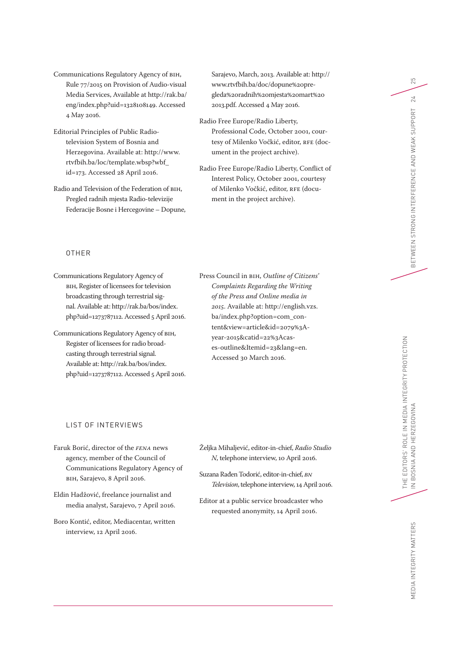Communications Regulatory Agency of BIH, Rule 77/2015 on Provision of Audio-visual Media Services, Available at [http://rak.ba/](http://rak.ba/eng/index.php?uid=1328108149) [eng/index.php?uid=1328108149](http://rak.ba/eng/index.php?uid=1328108149). Accessed 4 May 2016.

Editorial Principles of Public Radiotelevision System of Bosnia and Herzegovina. Available at: [http://www.](http://www.rtvfbih.ba/loc/template.wbsp?wbf_id=173) [rtvfbih.ba/loc/template.wbsp?wbf\\_](http://www.rtvfbih.ba/loc/template.wbsp?wbf_id=173) [id=173.](http://www.rtvfbih.ba/loc/template.wbsp?wbf_id=173) Accessed 28 April 2016.

Radio and Television of the Federation of BIH, Pregled radnih mjesta Radio-televizije Federacije Bosne i Hercegovine – Dopune, Sarajevo, March, 2013. Available at: [http://](http://www.rtvfbih.ba/doc/dopune%20pregleda%20radnih%20mjesta%20mart%202013.pdf) [www.rtvfbih.ba/doc/dopune%20pre](http://www.rtvfbih.ba/doc/dopune%20pregleda%20radnih%20mjesta%20mart%202013.pdf)[gleda%20radnih%20mjesta%20mart%20](http://www.rtvfbih.ba/doc/dopune%20pregleda%20radnih%20mjesta%20mart%202013.pdf) [2013.pdf.](http://www.rtvfbih.ba/doc/dopune%20pregleda%20radnih%20mjesta%20mart%202013.pdf) Accessed 4 May 2016.

- Radio Free Europe/Radio Liberty, Professional Code, October 2001, courtesy of Milenko Vočkić, editor, RFE (document in the project archive).
- Radio Free Europe/Radio Liberty, Conflict of Interest Policy, October 2001, courtesy of Milenko Vočkić, editor, RFE (document in the project archive).

#### OTHER

Communications Regulatory Agency of BIH, Register of licensees for television broadcasting through terrestrial signal. Available at: [http://rak.ba/bos/index.](http://rak.ba/bos/index.php?uid=1273787112) [php?uid=1273787112](http://rak.ba/bos/index.php?uid=1273787112). Accessed 5 April 2016.

Communications Regulatory Agency of BIH, Register of licensees for radio broadcasting through terrestrial signal. Available at: [http://rak.ba/bos/index.](http://rak.ba/bos/index.php?uid=1273787112) [php?uid=1273787112](http://rak.ba/bos/index.php?uid=1273787112). Accessed 5 April 2016. Press Council in BIH, *Outline of Citizens' Complaints Regarding the Writing of the Press and Online media in 2015*. Available at: [http://english.vzs.](http://english.vzs.ba/index.php?option=com_content&view=article&id=2079%3Ayear-2015&catid=22%3Acases-outline&Itemid=23&lang=en) [ba/index.php?option=com\\_con](http://english.vzs.ba/index.php?option=com_content&view=article&id=2079%3Ayear-2015&catid=22%3Acases-outline&Itemid=23&lang=en)[tent&view=article&id=2079%3A](http://english.vzs.ba/index.php?option=com_content&view=article&id=2079%3Ayear-2015&catid=22%3Acases-outline&Itemid=23&lang=en)[year-2015&catid=22%3Acas](http://english.vzs.ba/index.php?option=com_content&view=article&id=2079%3Ayear-2015&catid=22%3Acases-outline&Itemid=23&lang=en)[es-outline&Itemid=23&lang=en.](http://english.vzs.ba/index.php?option=com_content&view=article&id=2079%3Ayear-2015&catid=22%3Acases-outline&Itemid=23&lang=en) Accessed 30 March 2016.

#### LIST OF INTERVIEWS

Faruk Borić, director of the *FENA* news agency, member of the Council of Communications Regulatory Agency of BIH, Sarajevo, 8 April 2016.

Eldin Hadžović, freelance journalist and media analyst, Sarajevo, 7 April 2016.

Boro Kontić, editor, Mediacentar, written interview, 12 April 2016.

- Željka Mihaljević, editor-in-chief, *Radio Studio N*, telephone interview, 10 April 2016.
- Suzana Rađen Todorić, editor-in-chief, *BN Television*, telephone interview, 14 April 2016.
- Editor at a public service broadcaster who requested anonymity, 14 April 2016.

25

24